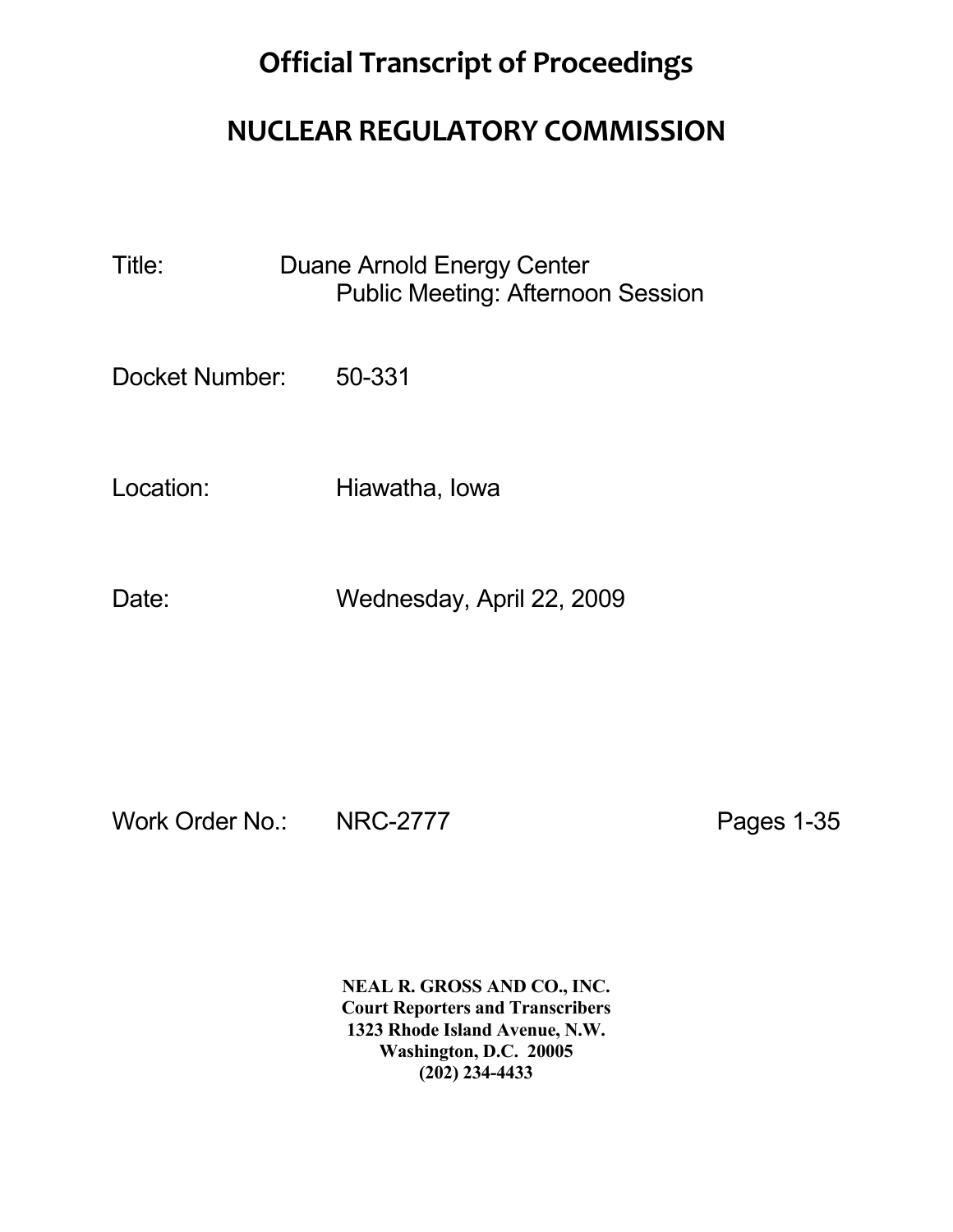## **Official Transcript of Proceedings**

## **NUCLEAR REGULATORY COMMISSION**

Title: Duane Arnold Energy Center Public Meeting: Afternoon Session

Docket Number: 50-331

Location: Hiawatha, Iowa

Date: Wednesday, April 22, 2009

Work Order No.: NRC-2777 Pages 1-35

 **NEAL R. GROSS AND CO., INC. Court Reporters and Transcribers 1323 Rhode Island Avenue, N.W. Washington, D.C. 20005 (202) 234-4433**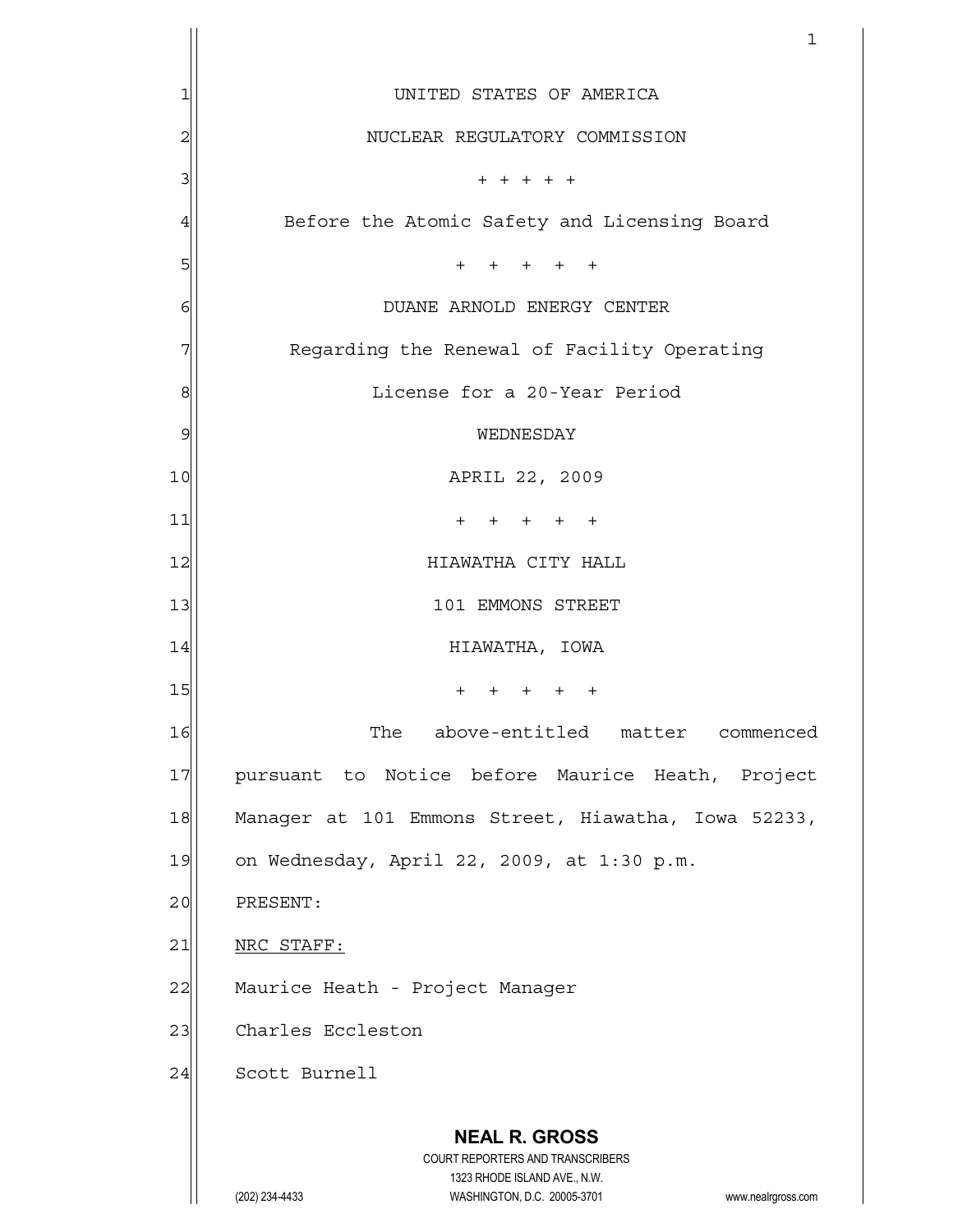|                     | 1                                                                                                   |  |  |
|---------------------|-----------------------------------------------------------------------------------------------------|--|--|
| 1                   | UNITED STATES OF AMERICA                                                                            |  |  |
| 2                   | NUCLEAR REGULATORY COMMISSION                                                                       |  |  |
| 3                   | $+ + + + + +$                                                                                       |  |  |
| 4                   | Before the Atomic Safety and Licensing Board                                                        |  |  |
| 5                   | $+$<br>+ + + +                                                                                      |  |  |
| 6                   | DUANE ARNOLD ENERGY CENTER                                                                          |  |  |
| 7                   | Regarding the Renewal of Facility Operating                                                         |  |  |
| 8                   | License for a 20-Year Period                                                                        |  |  |
| 9                   | WEDNESDAY                                                                                           |  |  |
| 10                  | APRIL 22, 2009                                                                                      |  |  |
| 11                  | $+$<br>$+$<br>$+$ $+$                                                                               |  |  |
| 12                  | HIAWATHA CITY HALL                                                                                  |  |  |
| 13                  | 101 EMMONS STREET                                                                                   |  |  |
| 14                  | HIAWATHA, IOWA                                                                                      |  |  |
| 15                  | $\ddot{}$<br>$^{+}$<br>$+$<br>$+$<br>$\pm$                                                          |  |  |
| 16                  | The above-entitled matter commenced                                                                 |  |  |
| 17                  | pursuant to Notice before Maurice Heath, Project                                                    |  |  |
| 18                  | Manager at 101 Emmons Street, Hiawatha, Iowa 52233,                                                 |  |  |
| 19                  | on Wednesday, April 22, 2009, at 1:30 p.m.                                                          |  |  |
| 20                  | PRESENT:                                                                                            |  |  |
| 21                  | NRC STAFF:                                                                                          |  |  |
| 22                  | Maurice Heath - Project Manager                                                                     |  |  |
| 23                  | Charles Eccleston                                                                                   |  |  |
| Scott Burnell<br>24 |                                                                                                     |  |  |
|                     | <b>NEAL R. GROSS</b>                                                                                |  |  |
|                     | COURT REPORTERS AND TRANSCRIBERS                                                                    |  |  |
|                     | 1323 RHODE ISLAND AVE., N.W.<br>WASHINGTON, D.C. 20005-3701<br>(202) 234-4433<br>www.nealrgross.com |  |  |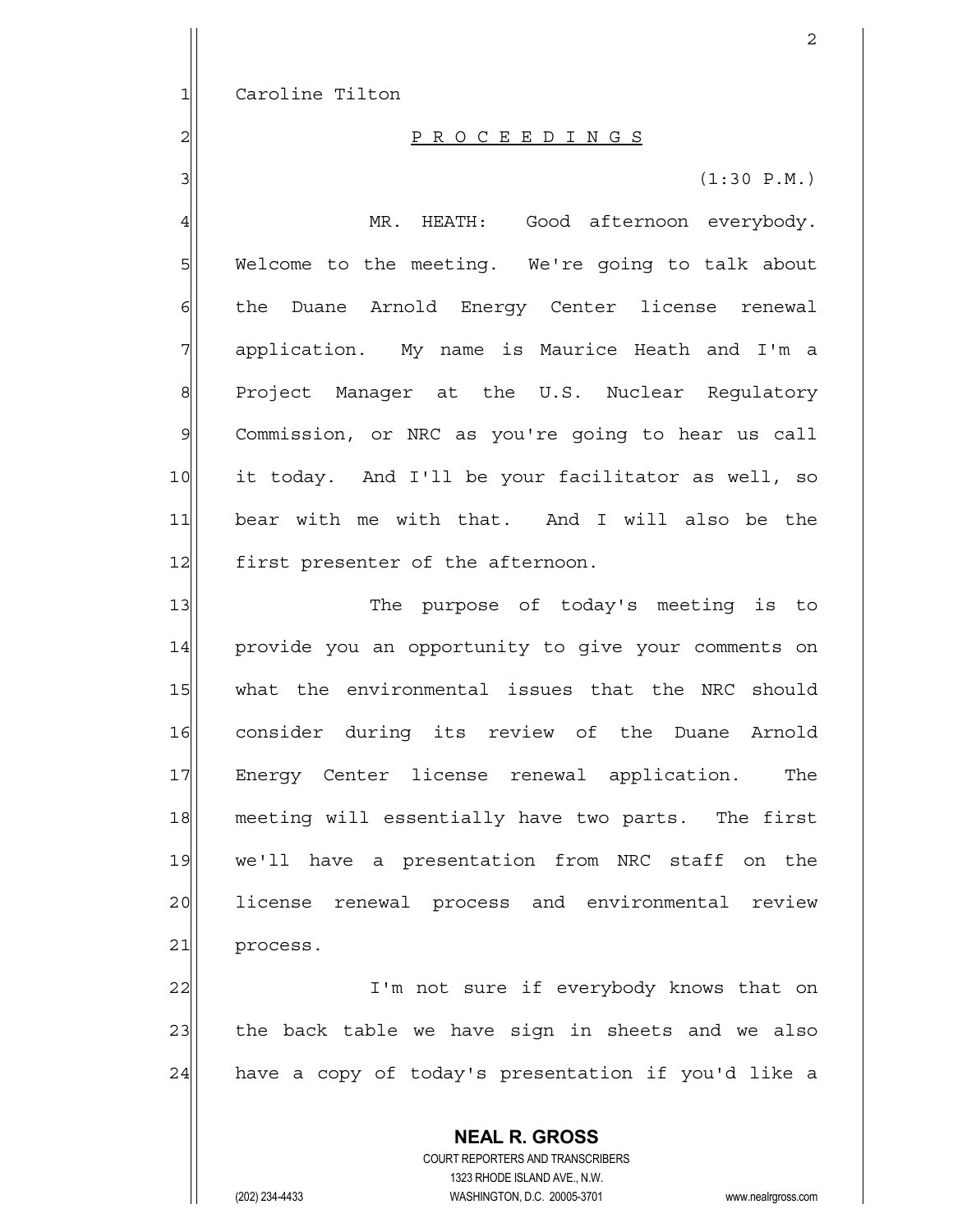1 Caroline Tilton

## 2 P R O C E E D I N G S

 $3 \mid$  (1:30 P.M.)

4 MR. HEATH: Good afternoon everybody. 5 Welcome to the meeting. We're going to talk about  $6$  the Duane Arnold Energy Center license renewal  $7$  application. My name is Maurice Heath and I'm a 8 | Project Manager at the U.S. Nuclear Regulatory 9 Commission, or NRC as you're going to hear us call 10 it today. And I'll be your facilitator as well, so 11 bear with me with that. And I will also be the 12 first presenter of the afternoon.

13 The purpose of today's meeting is to 14 provide you an opportunity to give your comments on 15 what the environmental issues that the NRC should 16 consider during its review of the Duane Arnold 17 Energy Center license renewal application. The 18 meeting will essentially have two parts. The first 19 we'll have a presentation from NRC staff on the 20 license renewal process and environmental review 21 process.

22 I'm not sure if everybody knows that on 23 the back table we have sign in sheets and we also 24 have a copy of today's presentation if you'd like a

> **NEAL R. GROSS** COURT REPORTERS AND TRANSCRIBERS 1323 RHODE ISLAND AVE., N.W. (202) 234-4433 WASHINGTON, D.C. 20005-3701 www.nealrgross.com

2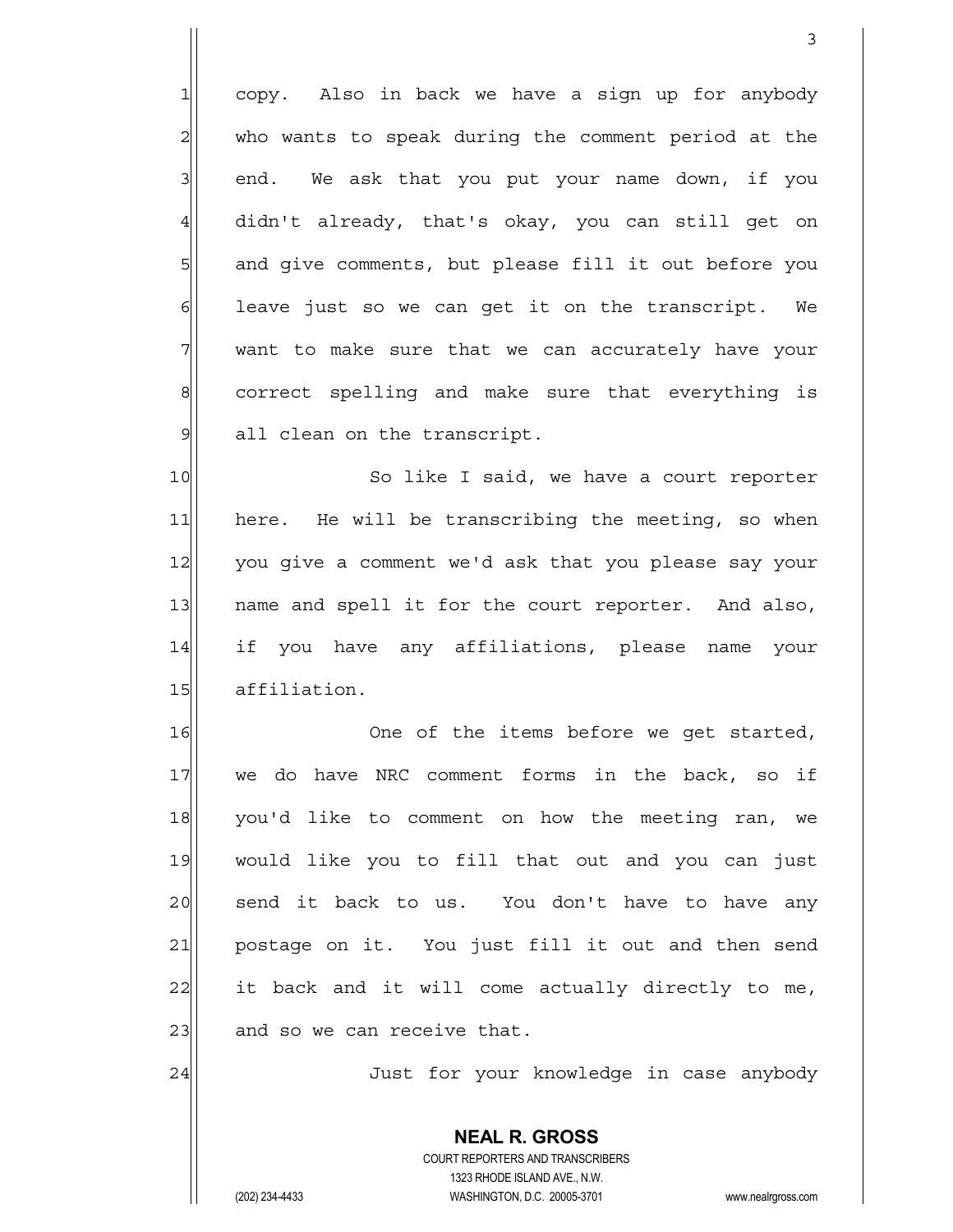$1$  copy. Also in back we have a sign up for anybody  $2$  who wants to speak during the comment period at the  $3$  end. We ask that you put your name down, if you 4 didn't already, that's okay, you can still get on 5 and give comments, but please fill it out before you  $6$  leave just so we can get it on the transcript. We  $7$  want to make sure that we can accurately have your 8 8 8 correct spelling and make sure that everything is 9 all clean on the transcript.

3

10 So like I said, we have a court reporter 11 here. He will be transcribing the meeting, so when 12 you give a comment we'd ask that you please say your 13 | name and spell it for the court reporter. And also, 14 if you have any affiliations, please name your 15 affiliation.

16 One of the items before we get started, 17 we do have NRC comment forms in the back, so if 18 you'd like to comment on how the meeting ran, we 19 would like you to fill that out and you can just 20 | send it back to us. You don't have to have any 21 postage on it. You just fill it out and then send  $22$  it back and it will come actually directly to me, 23 and so we can receive that.

24 Just for your knowledge in case anybody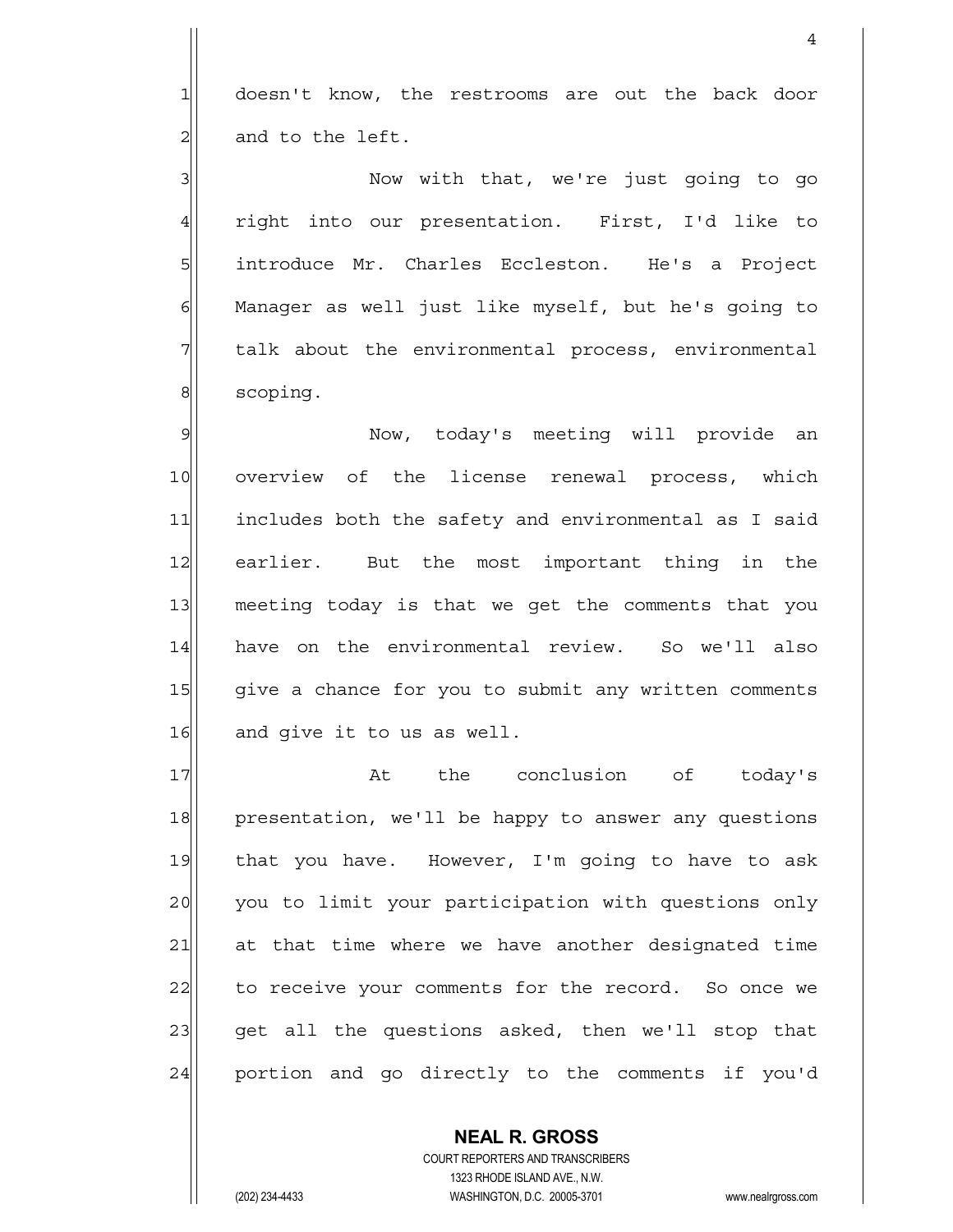1 doesn't know, the restrooms are out the back door  $2$  and to the left.

3<sup>2</sup> 1 Now with that, we're just going to go 4 right into our presentation. First, I'd like to 5 introduce Mr. Charles Eccleston. He's a Project  $6$  Manager as well just like myself, but he's going to 7 The talk about the environmental process, environmental 8 scoping.

9 Now, today's meeting will provide an 10 overview of the license renewal process, which 11 includes both the safety and environmental as I said 12 earlier. But the most important thing in the 13 meeting today is that we get the comments that you 14 have on the environmental review. So we'll also 15 give a chance for you to submit any written comments 16 and give it to us as well.

17 at the conclusion of today's 18 presentation, we'll be happy to answer any questions 19 that you have. However, I'm going to have to ask 20 you to limit your participation with questions only 21 at that time where we have another designated time 22 to receive your comments for the record. So once we 23 get all the questions asked, then we'll stop that 24 portion and go directly to the comments if you'd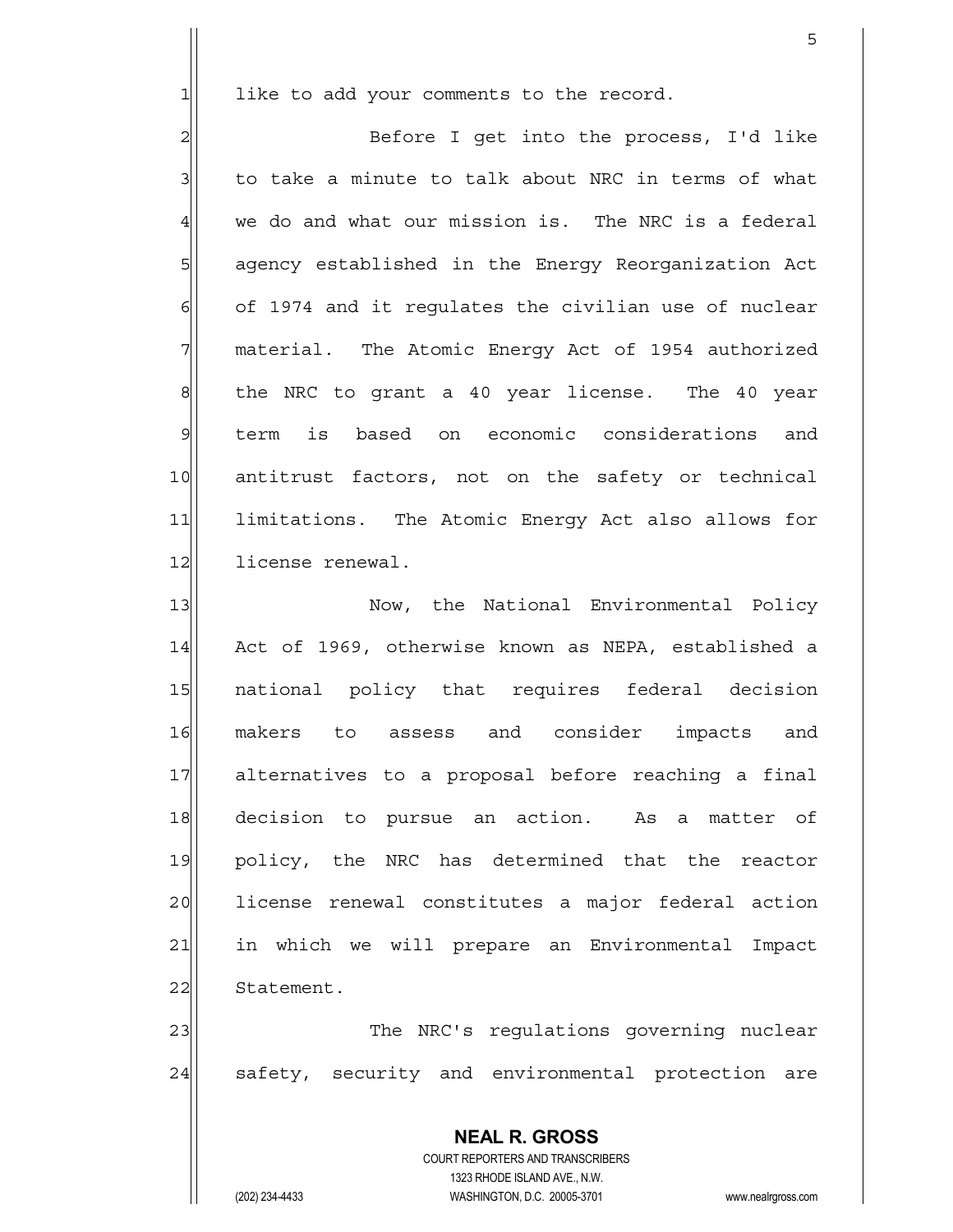$1$  like to add your comments to the record.

2 | Before I get into the process, I'd like  $3$  to take a minute to talk about NRC in terms of what  $4\vert$  we do and what our mission is. The NRC is a federal 5 5 5 5 agency established in the Energy Reorganization Act  $6$  of 1974 and it regulates the civilian use of nuclear  $7$  material. The Atomic Energy Act of 1954 authorized 8 8 8 the NRC to grant a 40 year license. The 40 year 9 term is based on economic considerations and 10 antitrust factors, not on the safety or technical 11 limitations. The Atomic Energy Act also allows for 12 license renewal.

13 | Now, the National Environmental Policy 14 Act of 1969, otherwise known as NEPA, established a 15| national policy that requires federal decision 16 makers to assess and consider impacts and 17| alternatives to a proposal before reaching a final 18| decision to pursue an action. As a matter of 19 policy, the NRC has determined that the reactor 20 license renewal constitutes a major federal action 21 in which we will prepare an Environmental Impact 22 Statement.

23 The NRC's requistions governing nuclear 24 safety, security and environmental protection are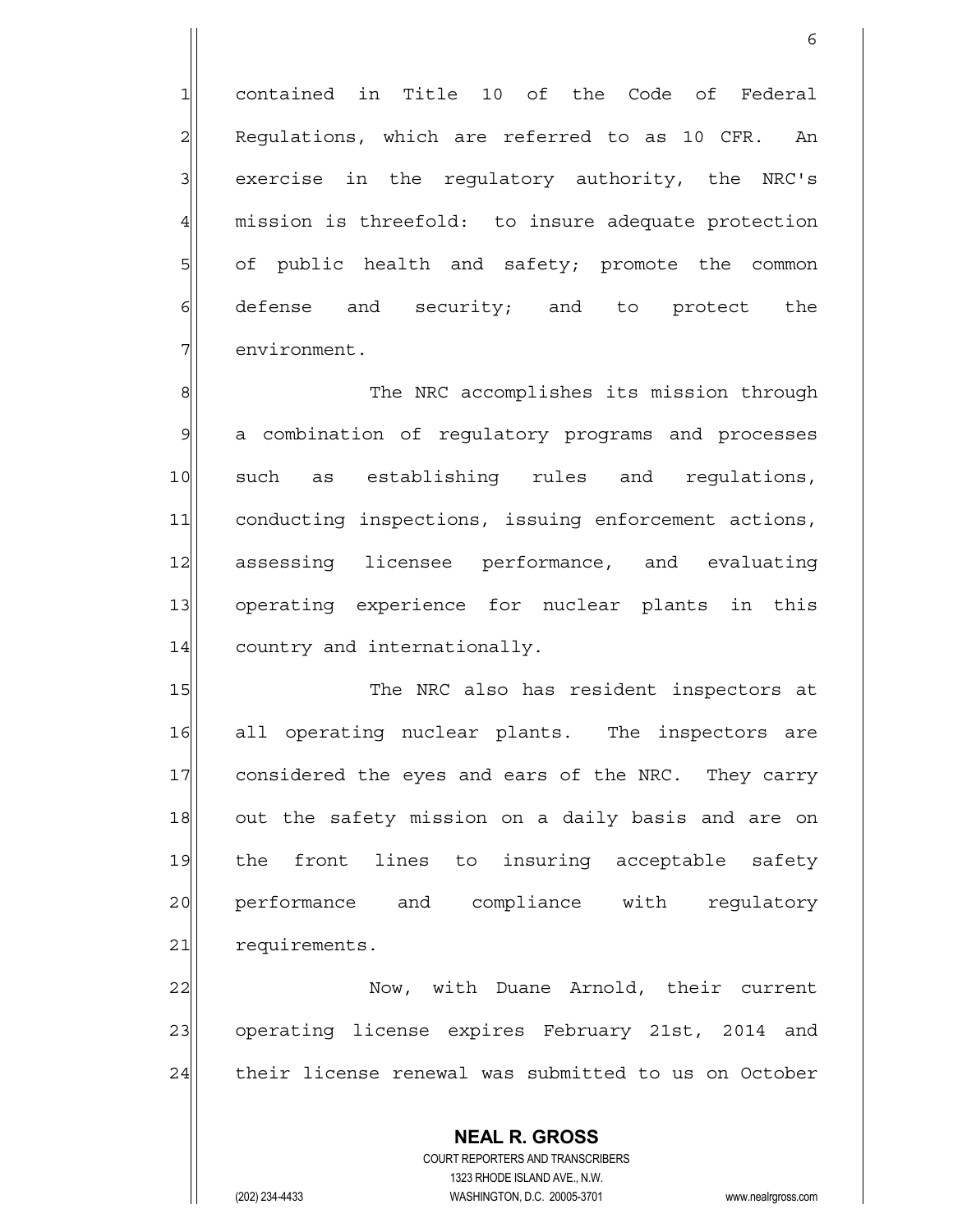1 contained in Title 10 of the Code of Federal  $2$  Regulations, which are referred to as 10 CFR. An 3 | exercise in the requlatory authority, the NRC's 4 mission is threefold: to insure adequate protection  $5$  of public health and safety; promote the common  $6$  defense and security; and to protect the 7 environment.

 $\sim$  6

8 8 8 The NRC accomplishes its mission through 9 a combination of regulatory programs and processes 10 such as establishing rules and regulations, 11 conducting inspections, issuing enforcement actions, 12 assessing licensee performance, and evaluating 13 operating experience for nuclear plants in this 14 country and internationally.

15 The NRC also has resident inspectors at 16 all operating nuclear plants. The inspectors are 17 considered the eyes and ears of the NRC. They carry 18 out the safety mission on a daily basis and are on 19 the front lines to insuring acceptable safety 20 performance and compliance with regulatory 21 requirements.

22 Now, with Duane Arnold, their current 23 operating license expires February 21st, 2014 and 24 their license renewal was submitted to us on October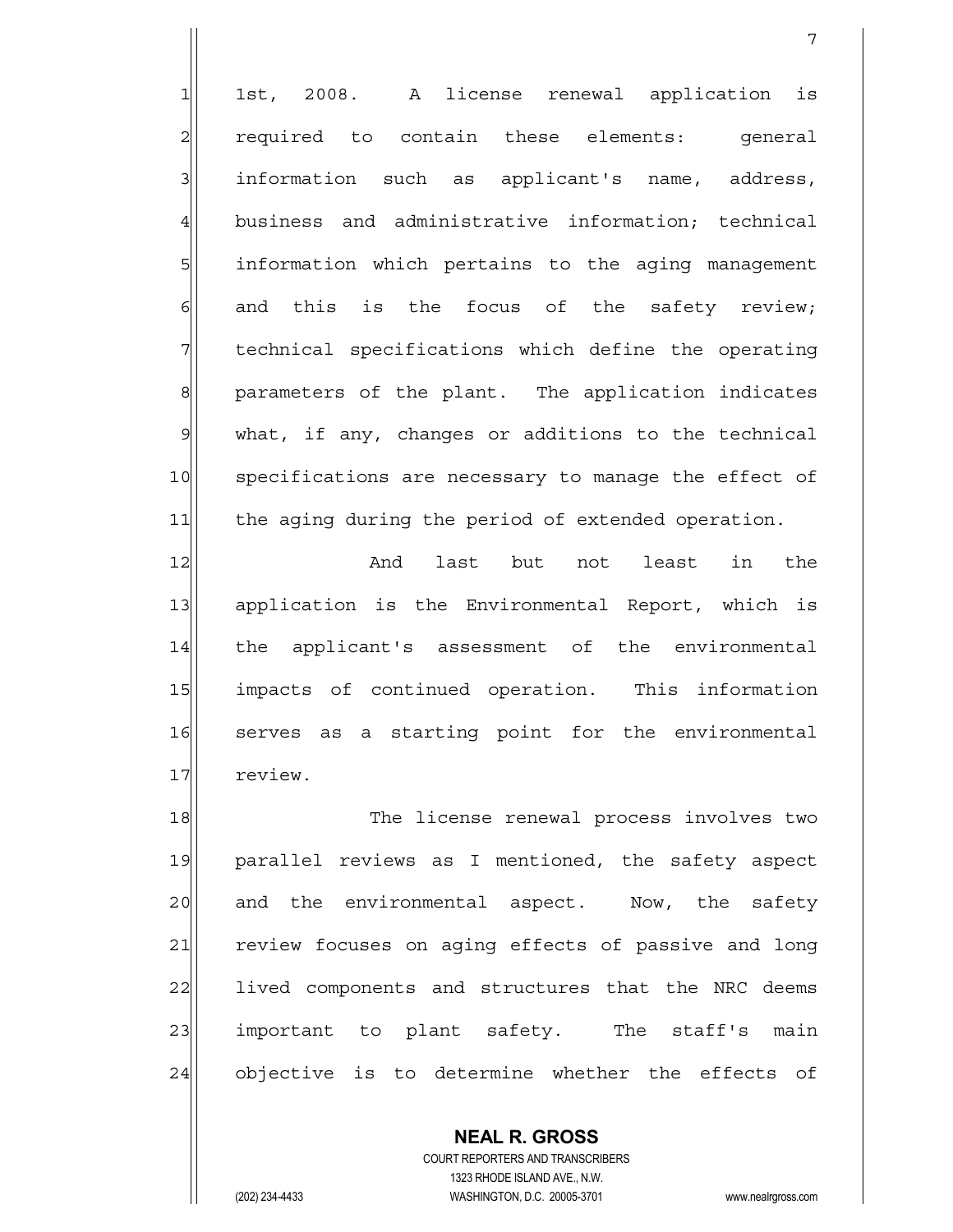1 1st, 2008. A license renewal application is 2 required to contain these elements: general 3 information such as applicant's name, address, 4 business and administrative information; technical 5 5 5 information which pertains to the aging management  $6$  and this is the focus of the safety review;  $7$  technical specifications which define the operating 8 8| parameters of the plant. The application indicates  $9$  what, if any, changes or additions to the technical 10 specifications are necessary to manage the effect of 11 the aging during the period of extended operation.

7

12 and last but not least in the 13 application is the Environmental Report, which is 14 the applicant's assessment of the environmental 15 impacts of continued operation. This information 16 serves as a starting point for the environmental 17 review.

18 The license renewal process involves two 19 parallel reviews as I mentioned, the safety aspect 20 and the environmental aspect. Now, the safety 21 review focuses on aging effects of passive and long 22 lived components and structures that the NRC deems 23 important to plant safety. The staff's main 24 objective is to determine whether the effects of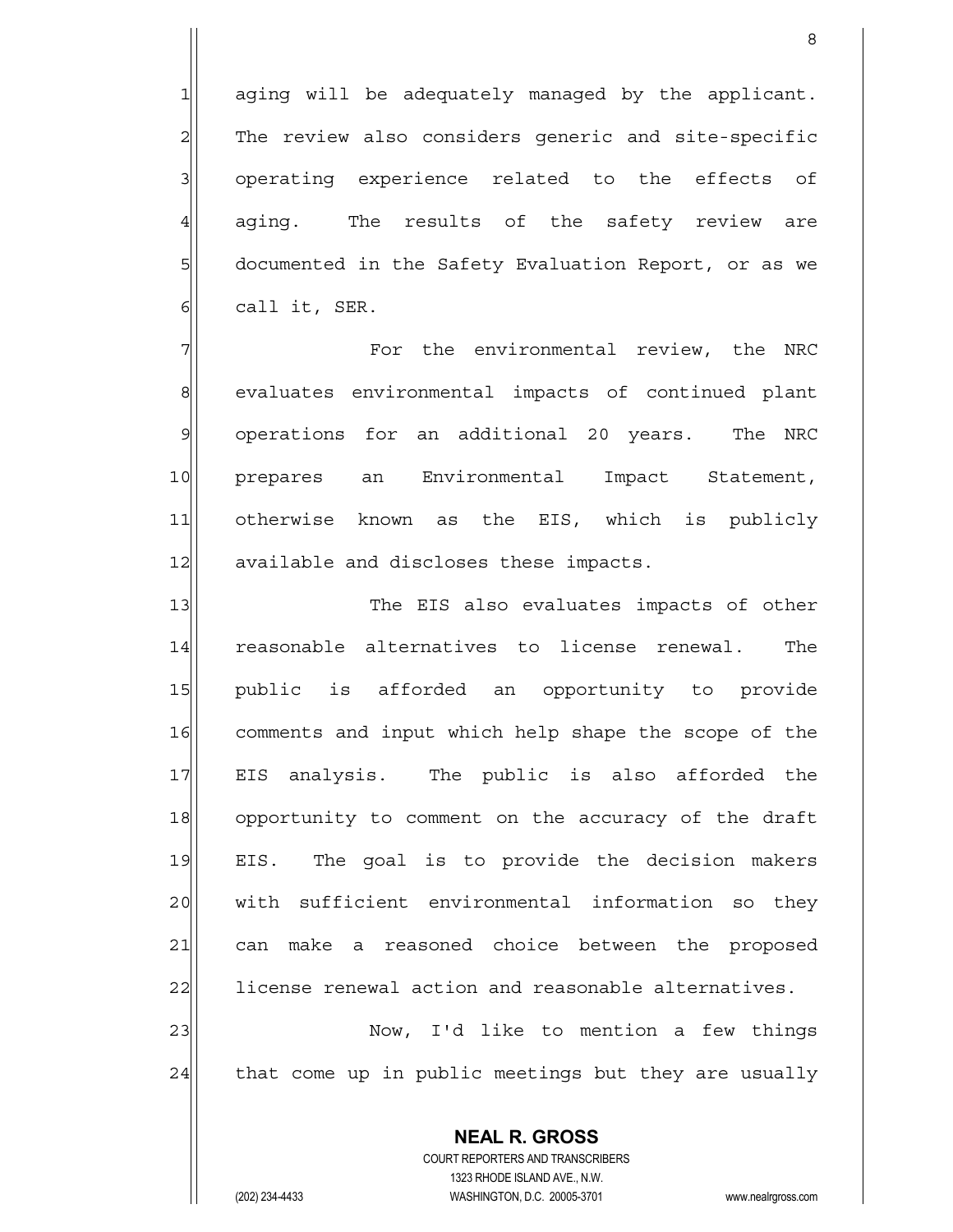aging will be adequately managed by the applicant. The review also considers generic and site-specific operating experience related to the effects of 4 aging. The results of the safety review are 5 6 5 5 documented in the Safety Evaluation Report, or as we call it, SER.

en andere de la provincia de la provincia de la provincia de la provincia de la provincia de la provincia del<br>Referències

7 The environmental review, the NRC 8 8 8 evaluates environmental impacts of continued plant 9 operations for an additional 20 years. The NRC 10 prepares an Environmental Impact Statement, 11 otherwise known as the EIS, which is publicly 12 available and discloses these impacts.

13 The EIS also evaluates impacts of other 14 reasonable alternatives to license renewal. The 15 public is afforded an opportunity to provide 16 comments and input which help shape the scope of the 17 EIS analysis. The public is also afforded the 18 opportunity to comment on the accuracy of the draft 19 EIS. The goal is to provide the decision makers 20 with sufficient environmental information so they 21 can make a reasoned choice between the proposed 22 license renewal action and reasonable alternatives.

23 Now, I'd like to mention a few things  $24$  that come up in public meetings but they are usually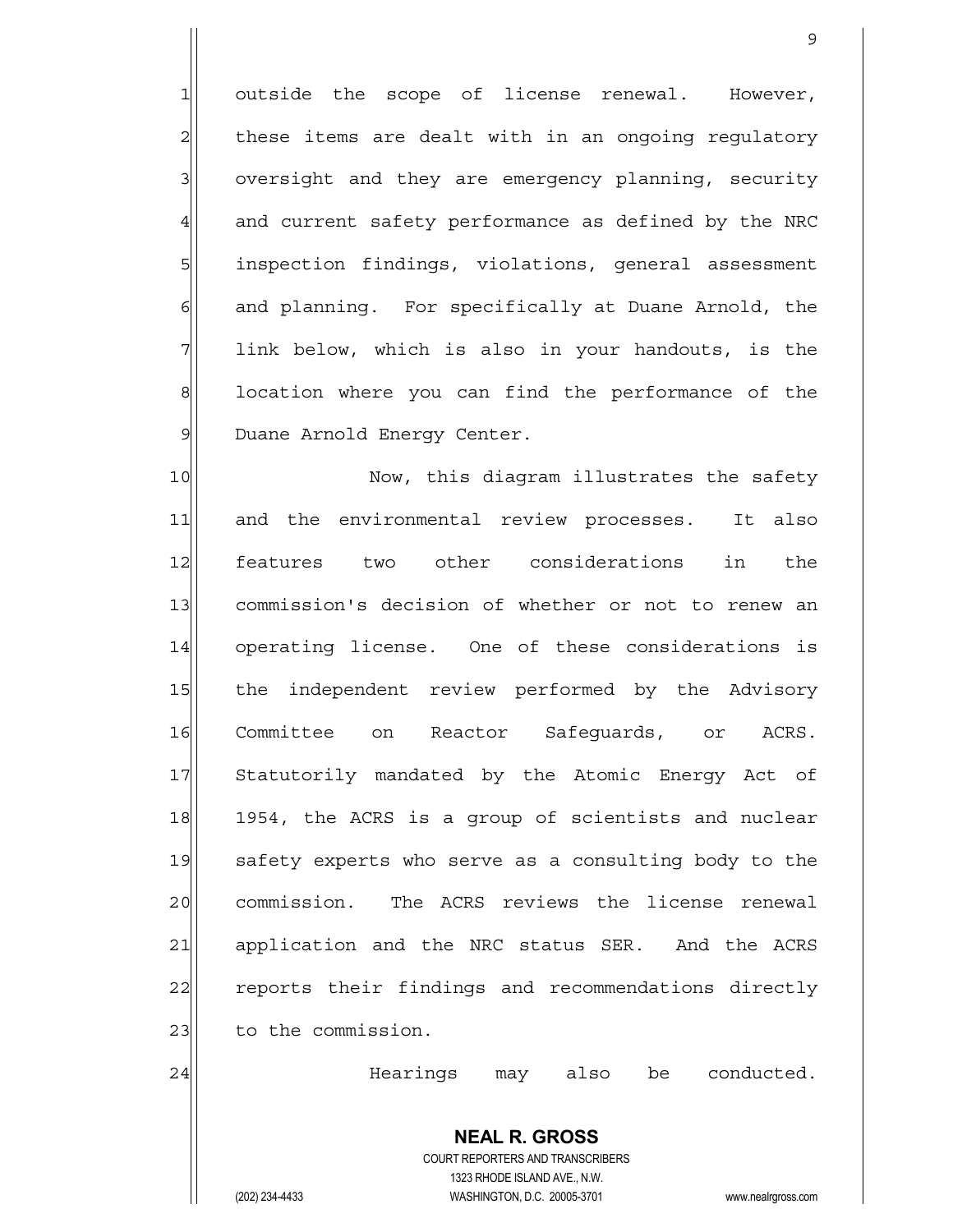$1$  outside the scope of license renewal. However,  $2$  these items are dealt with in an ongoing regulatory  $3$  oversight and they are emergency planning, security 4 and current safety performance as defined by the NRC 5 5 inspection findings, violations, general assessment  $6$  and planning. For specifically at Duane Arnold, the  $7$  link below, which is also in your handouts, is the 8 8 location where you can find the performance of the 9 Duane Arnold Energy Center.

9

10 Now, this diagram illustrates the safety 11 and the environmental review processes. It also 12 features two other considerations in the 13 commission's decision of whether or not to renew an 14 operating license. One of these considerations is 15 the independent review performed by the Advisory 16 Committee on Reactor Safeguards, or ACRS. 17 Statutorily mandated by the Atomic Energy Act of 18 1954, the ACRS is a group of scientists and nuclear 19 safety experts who serve as a consulting body to the 20 commission. The ACRS reviews the license renewal 21 application and the NRC status SER. And the ACRS 22 reports their findings and recommendations directly 23 to the commission.

24 Hearings may also be conducted.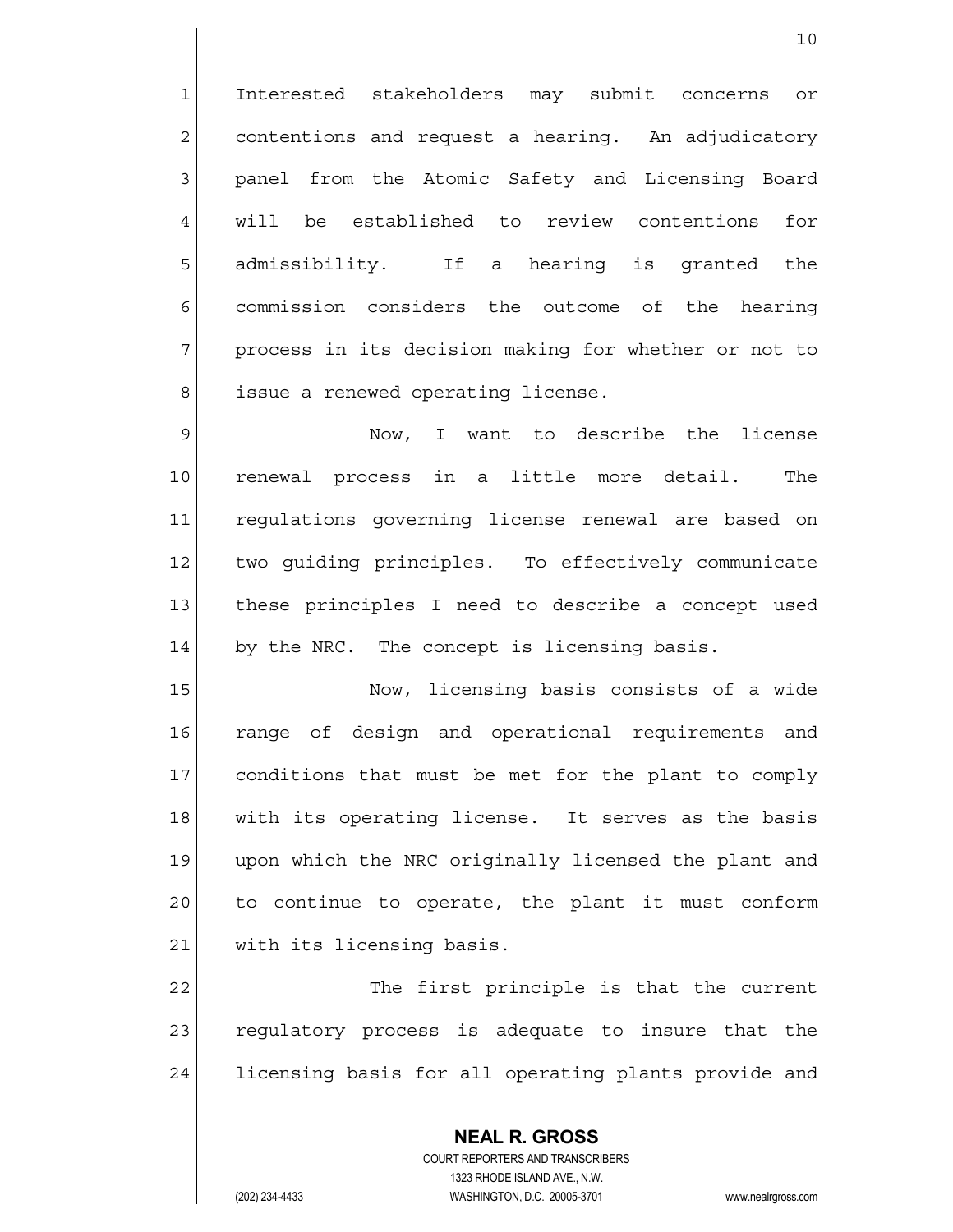1 Interested stakeholders may submit concerns or  $2$  contentions and request a hearing. An adjudicatory 3 | panel from the Atomic Safety and Licensing Board 4 will be established to review contentions for 5 5 5 5 admissibility. If a hearing is granted the 6 commission considers the outcome of the hearing 7 process in its decision making for whether or not to 8 8 issue a renewed operating license.

10

9 | Now, I want to describe the license 10 renewal process in a little more detail. The 11 regulations governing license renewal are based on 12 two guiding principles. To effectively communicate 13 these principles I need to describe a concept used 14 by the NRC. The concept is licensing basis.

15 Now, licensing basis consists of a wide 16 range of design and operational requirements and 17 conditions that must be met for the plant to comply 18 with its operating license. It serves as the basis 19 upon which the NRC originally licensed the plant and 20 to continue to operate, the plant it must conform 21 with its licensing basis.

22 The first principle is that the current 23 regulatory process is adequate to insure that the 24 licensing basis for all operating plants provide and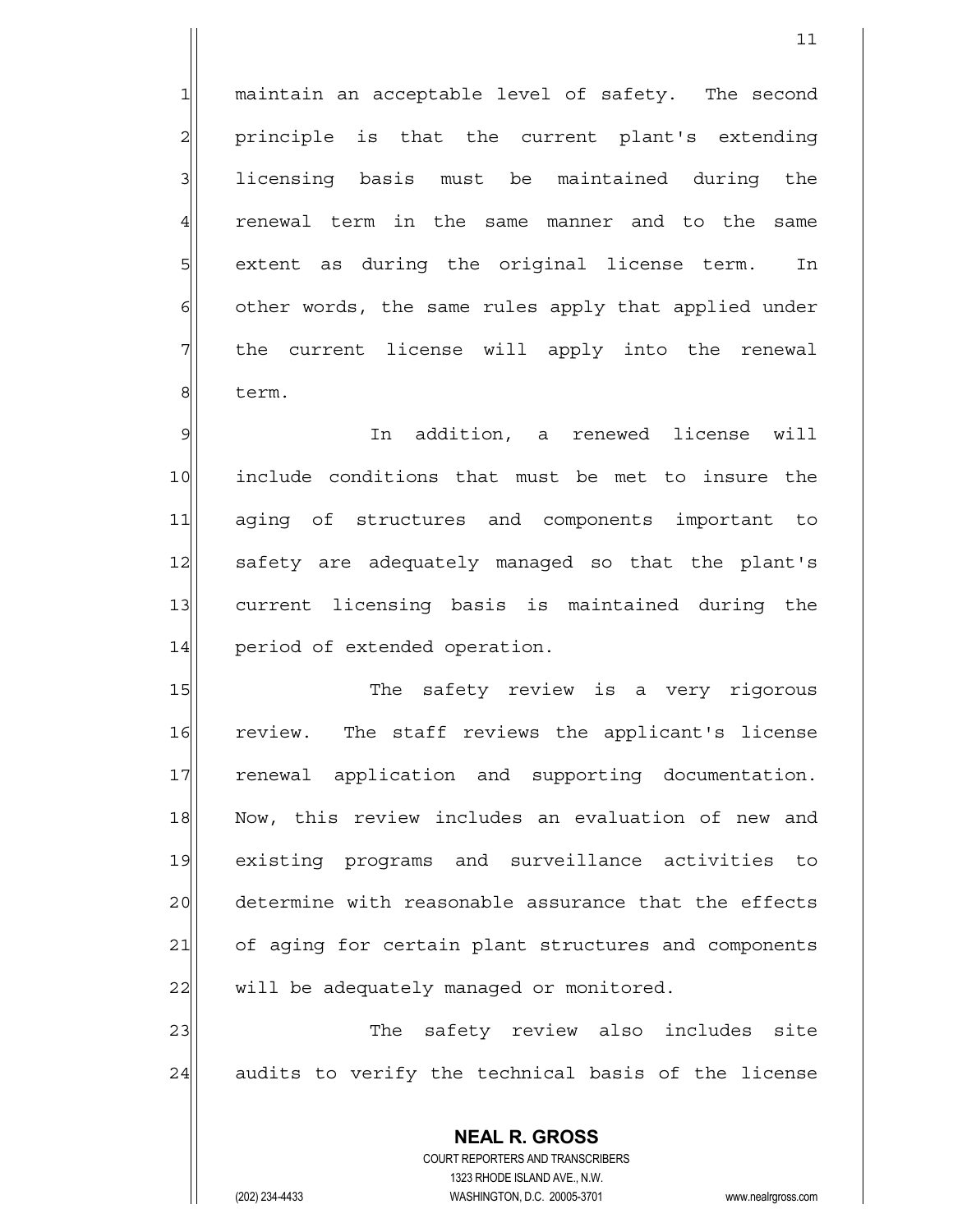$1$  maintain an acceptable level of safety. The second 2| principle is that the current plant's extending 3 licensing basis must be maintained during the 4 renewal term in the same manner and to the same  $5$  extent as during the original license term. In 6 other words, the same rules apply that applied under 7 the current license will apply into the renewal 8 term.

9 | 9 | In addition, a renewed license will 10 include conditions that must be met to insure the 11 aging of structures and components important to 12 safety are adequately managed so that the plant's 13 current licensing basis is maintained during the 14 period of extended operation.

15 The safety review is a very rigorous 16 review. The staff reviews the applicant's license 17 | renewal application and supporting documentation. 18 Now, this review includes an evaluation of new and 19 existing programs and surveillance activities to 20 determine with reasonable assurance that the effects 21 of aging for certain plant structures and components  $22$  will be adequately managed or monitored.

23 and the safety review also includes site 24 audits to verify the technical basis of the license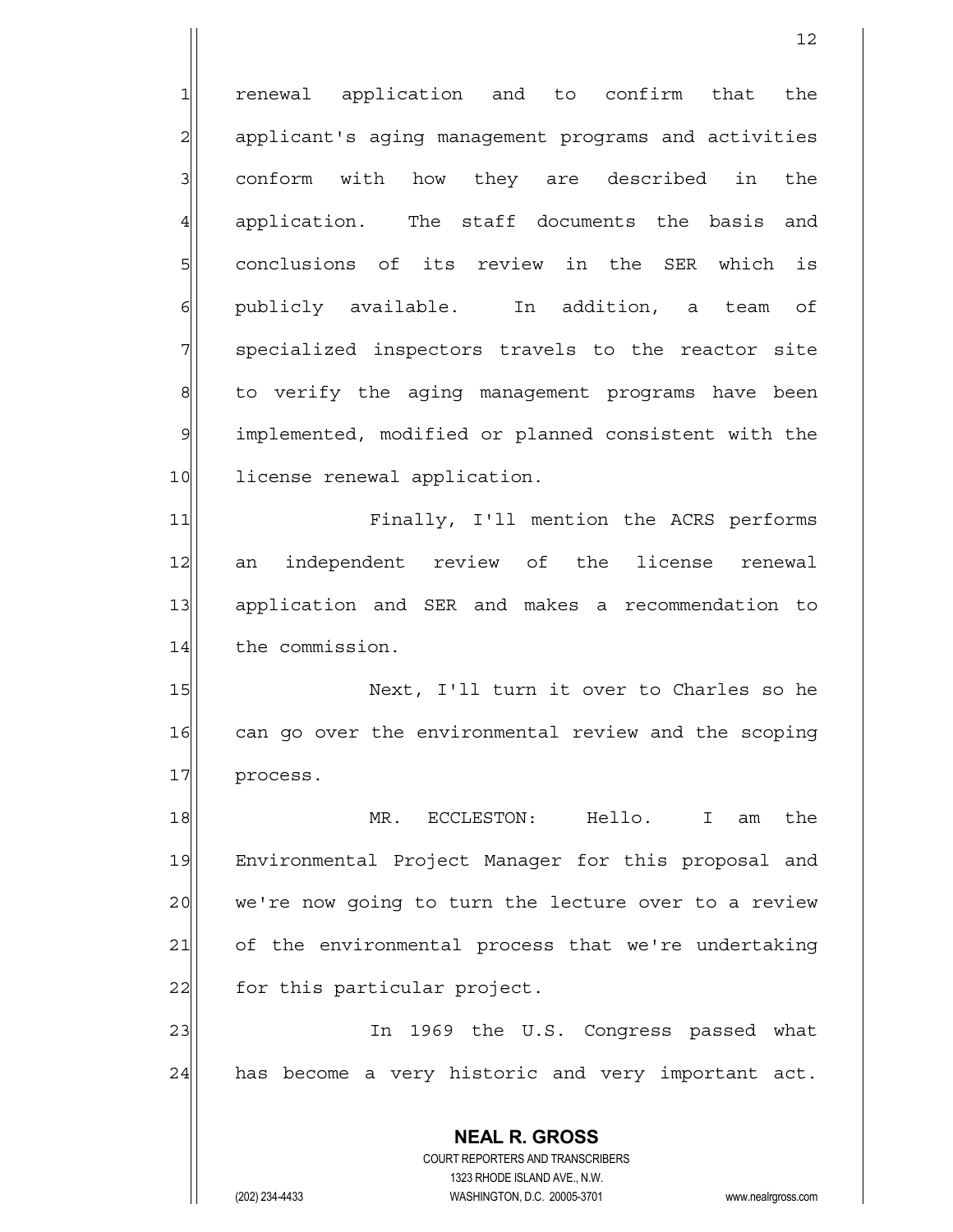12 1 renewal application and to confirm that the 2 applicant's aging management programs and activities  $3$  conform with how they are described in the 4 application. The staff documents the basis and 5 s conclusions of its review in the SER which is 6 publicly available. In addition, a team of 7 specialized inspectors travels to the reactor site 8 6 8 b verify the aging management programs have been 9 implemented, modified or planned consistent with the 10 license renewal application. 11 Finally, I'll mention the ACRS performs 12 an independent review of the license renewal 13 application and SER and makes a recommendation to 14 the commission. 15 Next, I'll turn it over to Charles so he 16 can go over the environmental review and the scoping 17 process. 18 MR. ECCLESTON: Hello. I am the 19 Environmental Project Manager for this proposal and 20 we're now going to turn the lecture over to a review 21 of the environmental process that we're undertaking 22 for this particular project.

23 and 1969 the U.S. Congress passed what 24 has become a very historic and very important act.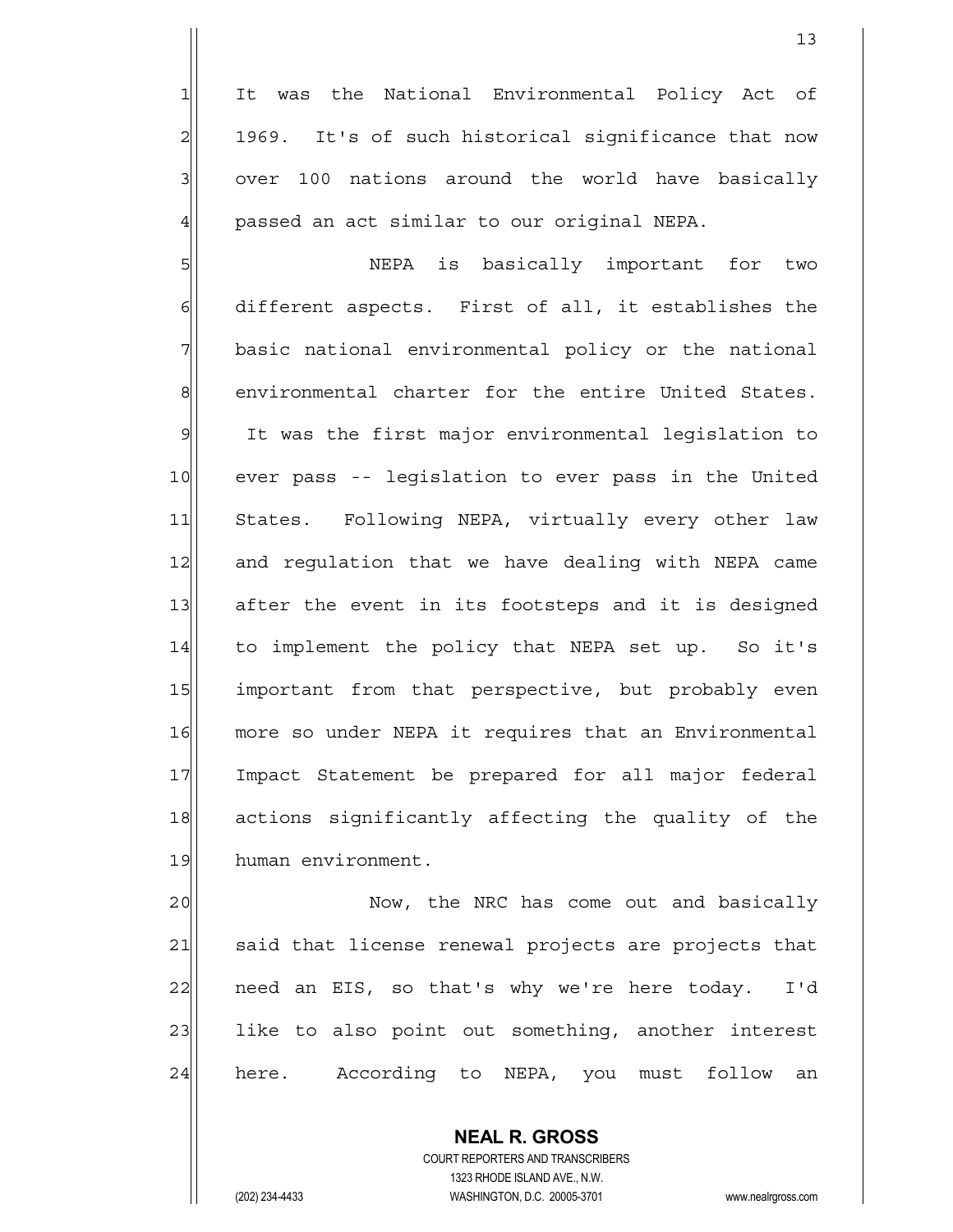1 It was the National Environmental Policy Act of  $2$  1969. It's of such historical significance that now  $3$  over 100 nations around the world have basically 4 | passed an act similar to our original NEPA.

5 SI  $6$  different aspects. First of all, it establishes the 7 basic national environmental policy or the national 8 environmental charter for the entire United States. 9 It was the first major environmental legislation to 10 ever pass -- legislation to ever pass in the United 11 States. Following NEPA, virtually every other law 12 and regulation that we have dealing with NEPA came 13 after the event in its footsteps and it is designed 14 to implement the policy that NEPA set up. So it's 15 important from that perspective, but probably even 16 more so under NEPA it requires that an Environmental 17 Impact Statement be prepared for all major federal 18 actions significantly affecting the quality of the 19 human environment.

20  $\vert$  Now, the NRC has come out and basically 21 said that license renewal projects are projects that 22 need an EIS, so that's why we're here today. I'd 23 | like to also point out something, another interest 24 here. According to NEPA, you must follow an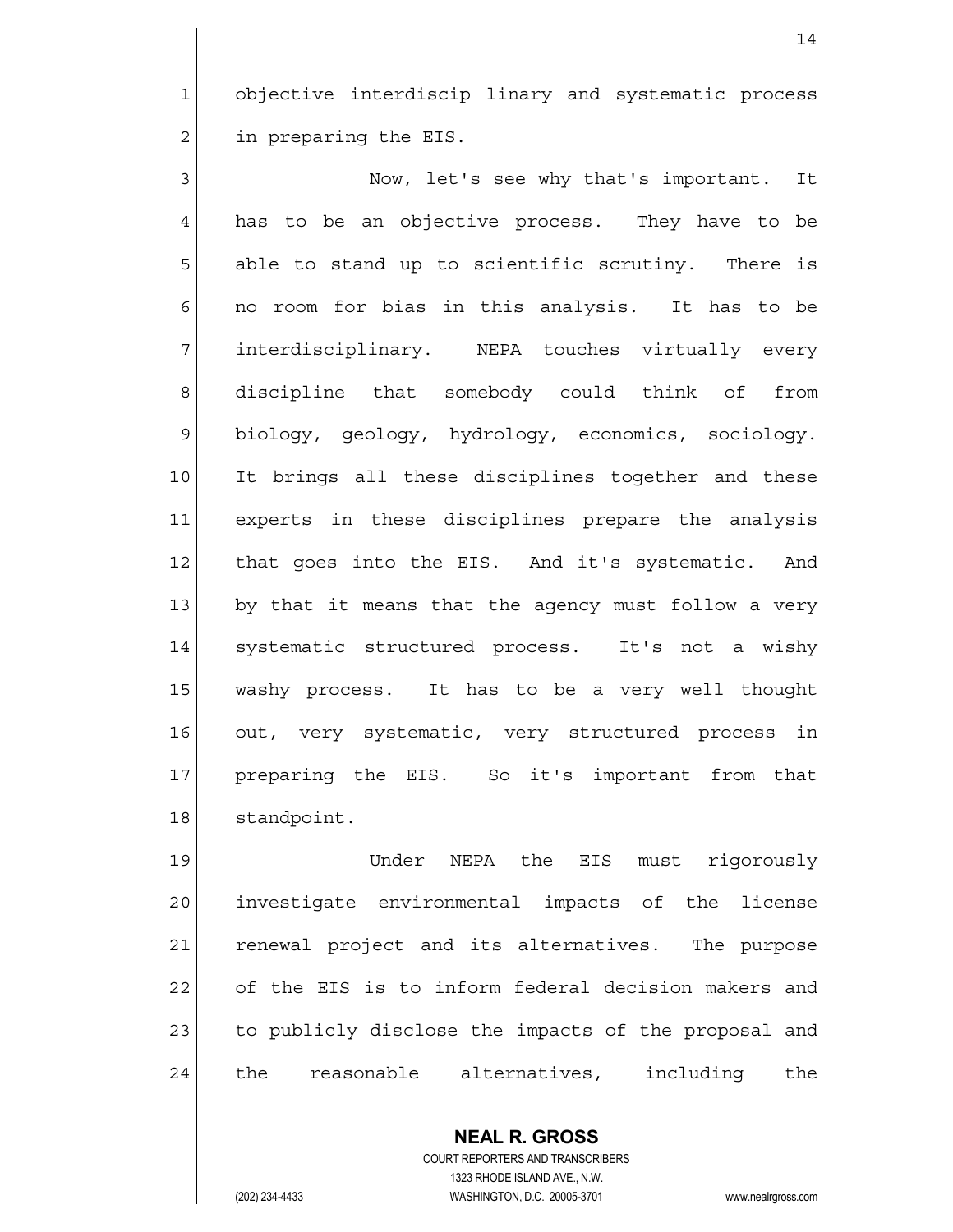1 objective interdiscip linary and systematic process  $2$  in preparing the EIS.

3 Now, let's see why that's important. It  $4$  has to be an objective process. They have to be  $5$  able to stand up to scientific scrutiny. There is  $6$  no room for bias in this analysis. It has to be 7 interdisciplinary. NEPA touches virtually every 8| discipline that somebody could think of from 9 biology, geology, hydrology, economics, sociology. 10 It brings all these disciplines together and these 11 experts in these disciplines prepare the analysis 12 | that goes into the EIS. And it's systematic. And 13 by that it means that the agency must follow a very 14 systematic structured process. It's not a wishy 15 washy process. It has to be a very well thought 16 out, very systematic, very structured process in 17 preparing the EIS. So it's important from that 18 standpoint.

19 19 Under NEPA the EIS must rigorously 20 investigate environmental impacts of the license 21 renewal project and its alternatives. The purpose 22 of the EIS is to inform federal decision makers and 23 to publicly disclose the impacts of the proposal and 24 the reasonable alternatives, including the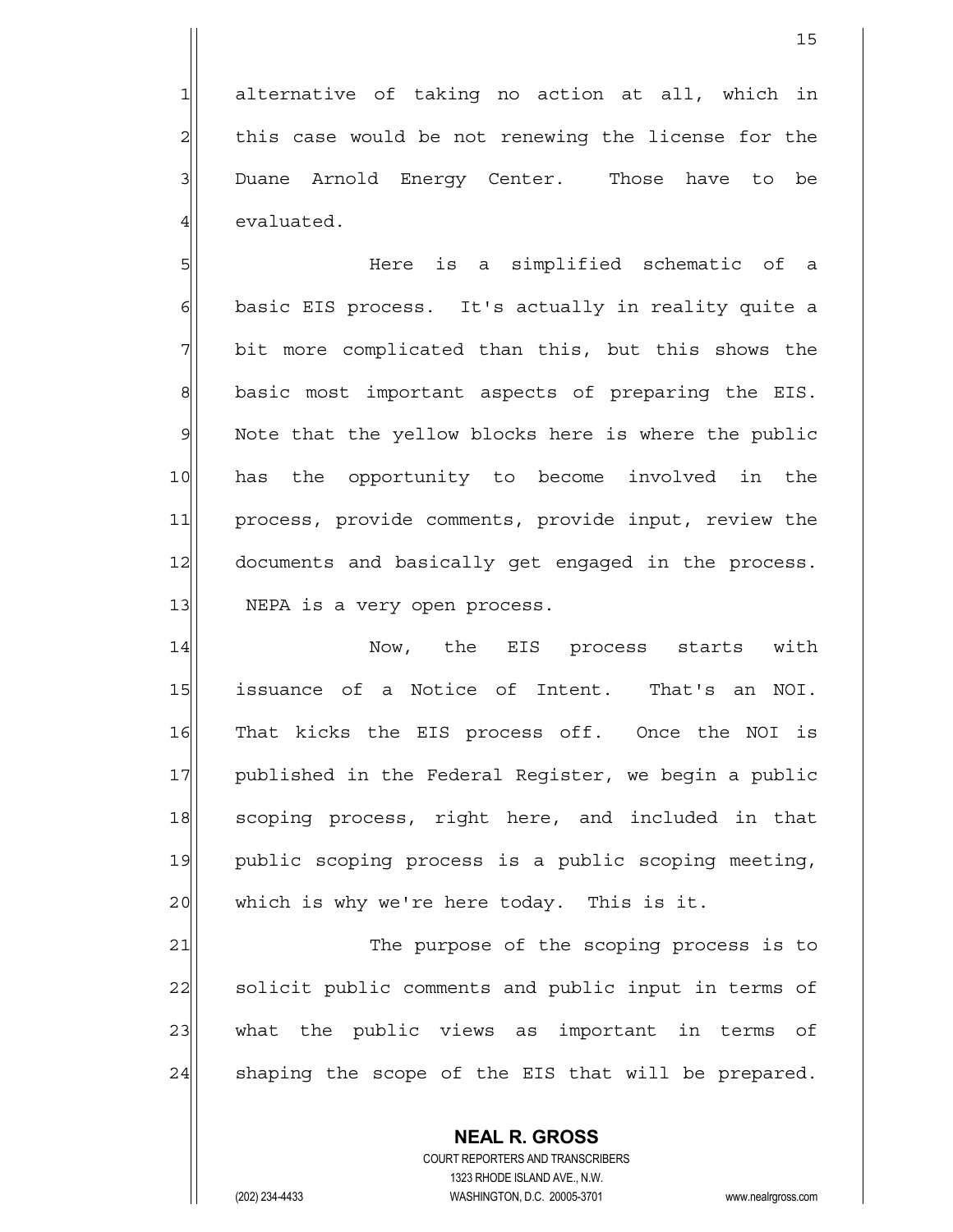$1$  alternative of taking no action at all, which in  $2$  this case would be not renewing the license for the 3 Duane Arnold Energy Center. Those have to be 4 evaluated.

5 SI SINGLE is a simplified schematic of a 6 basic EIS process. It's actually in reality quite a  $7$  bit more complicated than this, but this shows the 8 basic most important aspects of preparing the EIS. 9 Note that the yellow blocks here is where the public 10 has the opportunity to become involved in the 11 process, provide comments, provide input, review the 12 documents and basically get engaged in the process. 13 | NEPA is a very open process.

14 Now, the EIS process starts with 15 issuance of a Notice of Intent. That's an NOI. 16 That kicks the EIS process off. Once the NOI is 17 published in the Federal Register, we begin a public 18 scoping process, right here, and included in that 19 public scoping process is a public scoping meeting, 20 which is why we're here today. This is it.

21 The purpose of the scoping process is to 22 solicit public comments and public input in terms of 23 what the public views as important in terms of  $24$  shaping the scope of the EIS that will be prepared.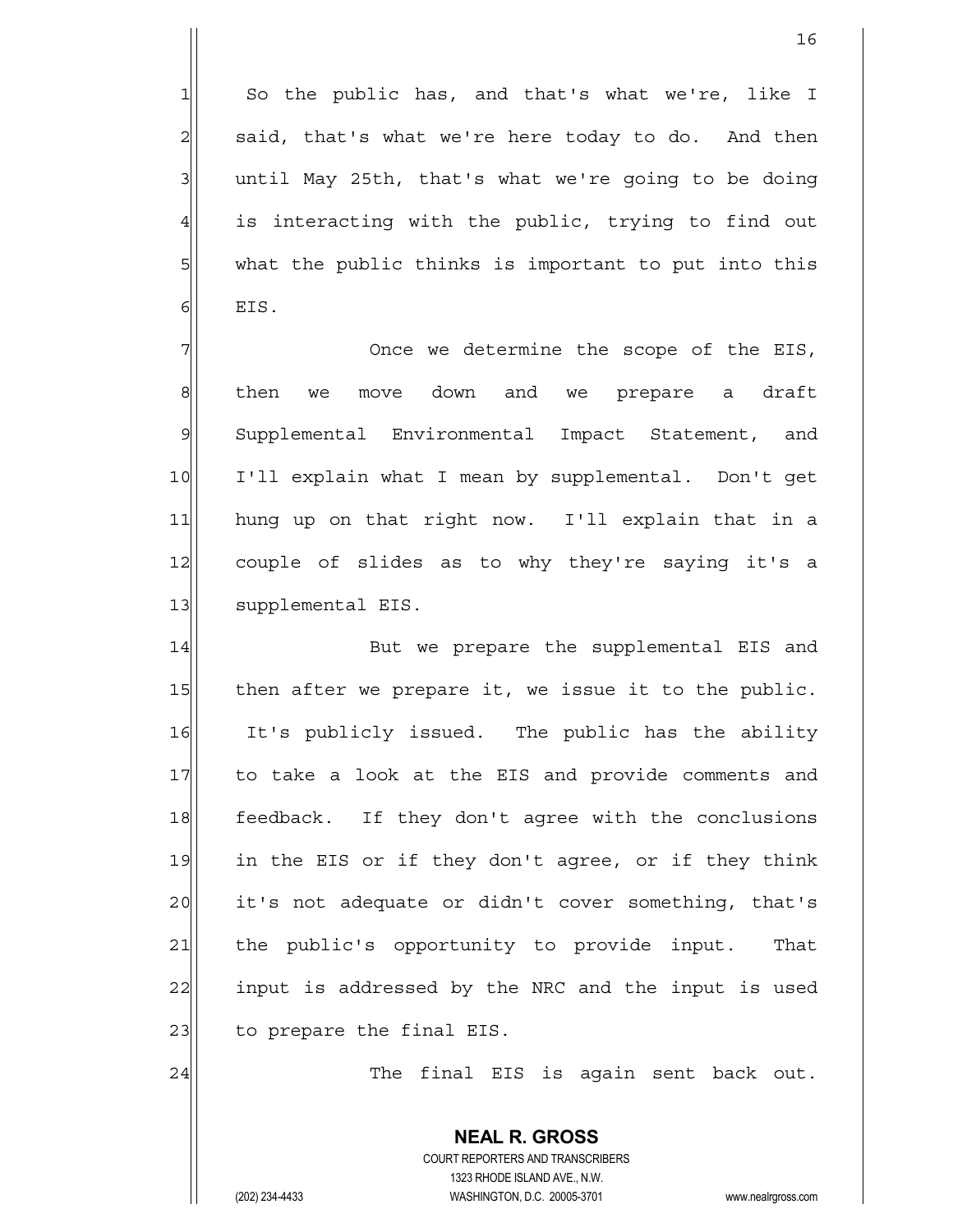So the public has, and that's what we're, like I  $2\vert$  said, that's what we're here today to do. And then until May 25th, that's what we're going to be doing is interacting with the public, trying to find out what the public thinks is important to put into this  $6$  EIS.

 $7$   $7$ 8 8 s hen we move down and we prepare a draft 9 Supplemental Environmental Impact Statement, and 10 I'll explain what I mean by supplemental. Don't get 11 hung up on that right now. I'll explain that in a 12 couple of slides as to why they're saying it's a 13 | supplemental EIS.

14|| But we prepare the supplemental EIS and  $15$  then after we prepare it, we issue it to the public. 16 It's publicly issued. The public has the ability 17| to take a look at the EIS and provide comments and 18 feedback. If they don't agree with the conclusions 19 in the EIS or if they don't agree, or if they think 20 it's not adequate or didn't cover something, that's 21 the public's opportunity to provide input. That 22 input is addressed by the NRC and the input is used 23 to prepare the final EIS.

24 The final EIS is again sent back out.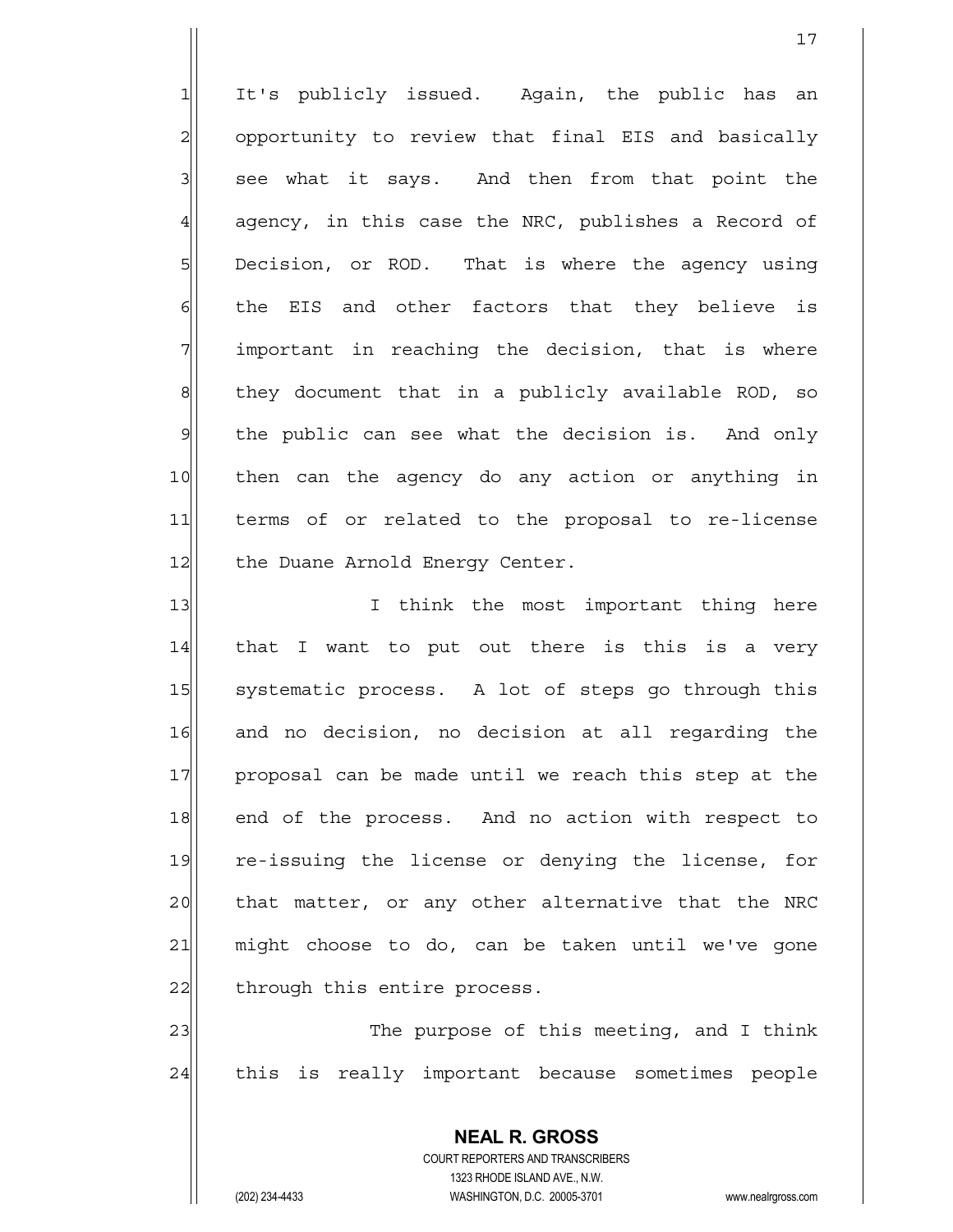1 It's publicly issued. Again, the public has an  $2$  opportunity to review that final EIS and basically  $3$  see what it says. And then from that point the  $4$  agency, in this case the NRC, publishes a Record of  $5$  Decision, or ROD. That is where the agency using  $6$  the EIS and other factors that they believe is  $7$  important in reaching the decision, that is where  $8$  they document that in a publicly available ROD, so 9 the public can see what the decision is. And only 10 then can the agency do any action or anything in 11 terms of or related to the proposal to re-license 12 the Duane Arnold Energy Center.

17

13 I I think the most important thing here 14| that I want to put out there is this is a very 15 Systematic process. A lot of steps go through this 16 and no decision, no decision at all regarding the 17 proposal can be made until we reach this step at the 18 end of the process. And no action with respect to 19 re-issuing the license or denying the license, for 20 | that matter, or any other alternative that the NRC 21 might choose to do, can be taken until we've gone 22 through this entire process.

23 The purpose of this meeting, and I think 24 this is really important because sometimes people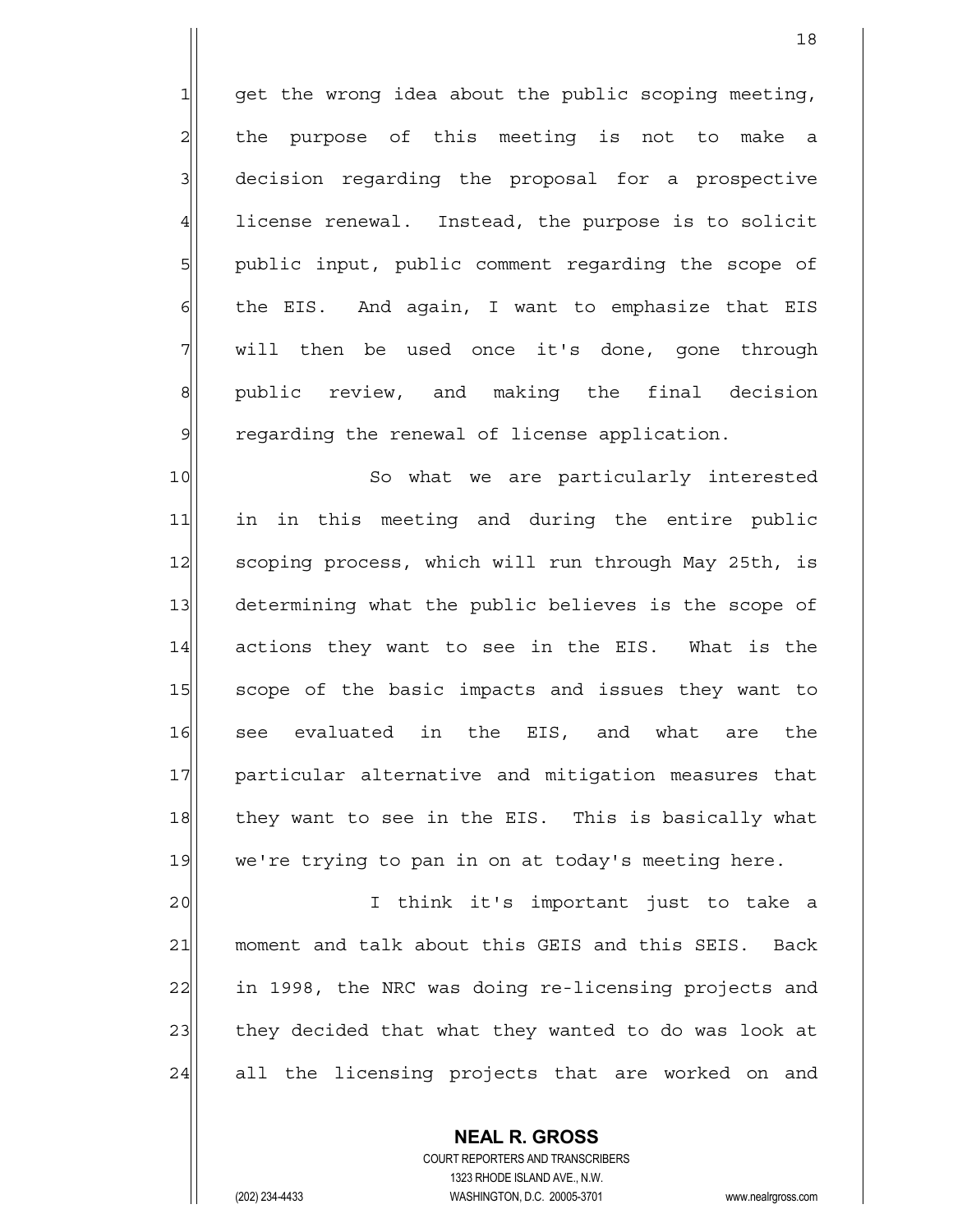$1$  get the wrong idea about the public scoping meeting,  $2$  the purpose of this meeting is not to make a 3 decision regarding the proposal for a prospective 4 license renewal. Instead, the purpose is to solicit 5 public input, public comment regarding the scope of  $6$  the EIS. And again, I want to emphasize that EIS  $7$  will then be used once it's done, gone through 8 | public review, and making the final decision 9 regarding the renewal of license application.

10 So what we are particularly interested 11 in in this meeting and during the entire public 12 scoping process, which will run through May 25th, is 13 determining what the public believes is the scope of 14 actions they want to see in the EIS. What is the 15 scope of the basic impacts and issues they want to 16 see evaluated in the EIS, and what are the 17 | particular alternative and mitigation measures that 18 they want to see in the EIS. This is basically what 19 we're trying to pan in on at today's meeting here.

20 I think it's important just to take a 21 moment and talk about this GEIS and this SEIS. Back 22 in 1998, the NRC was doing re-licensing projects and 23 they decided that what they wanted to do was look at 24 all the licensing projects that are worked on and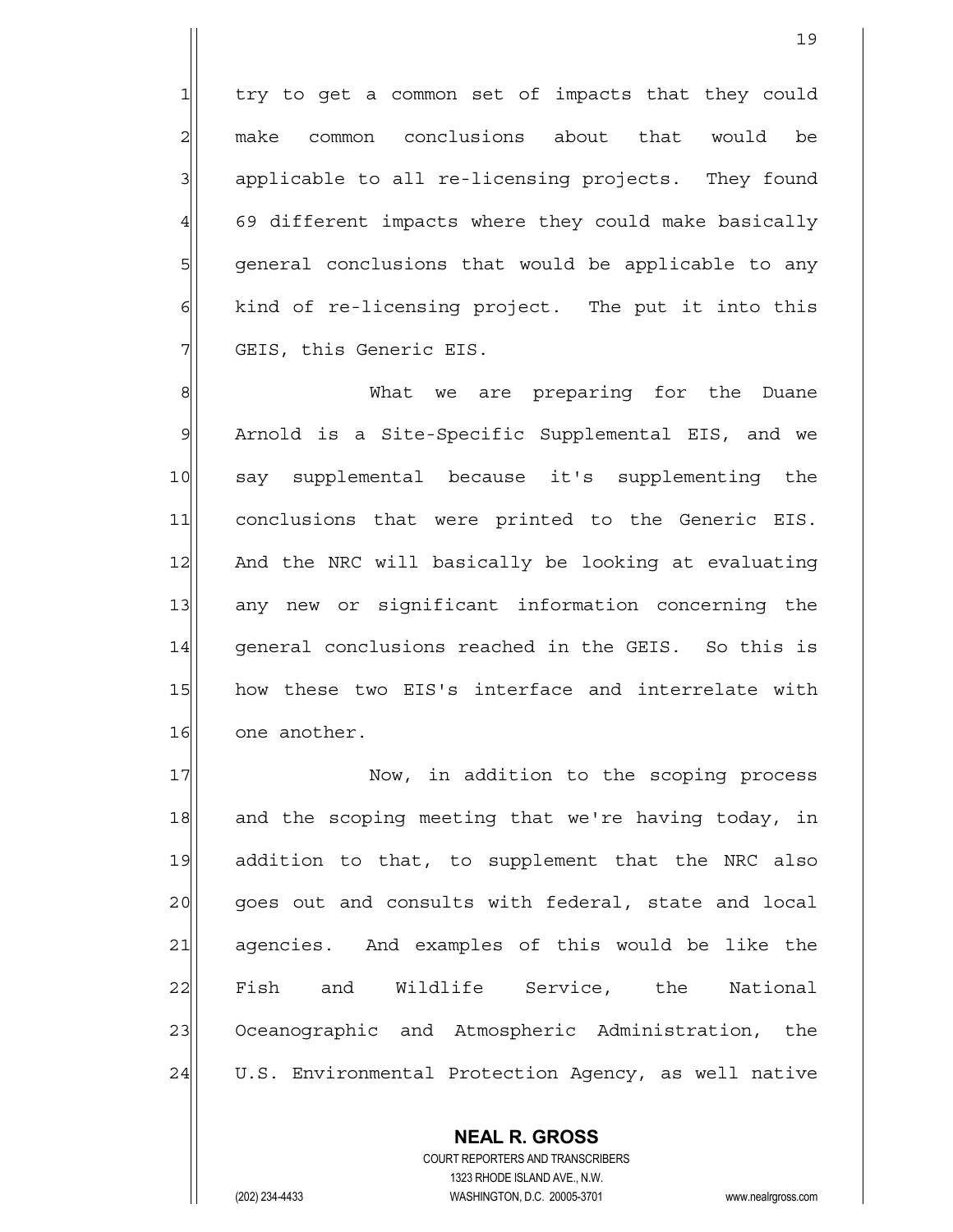$1$  try to get a common set of impacts that they could 2 make common conclusions about that would be 3 applicable to all re-licensing projects. They found 4 69 different impacts where they could make basically 5 | general conclusions that would be applicable to any  $\delta$  kind of re-licensing project. The put it into this 7 GEIS, this Generic EIS.

8 8 What we are preparing for the Duane 9 Arnold is a Site-Specific Supplemental EIS, and we 10 say supplemental because it's supplementing the 11 conclusions that were printed to the Generic EIS. 12 And the NRC will basically be looking at evaluating 13 any new or significant information concerning the 14 | general conclusions reached in the GEIS. So this is 15 | how these two EIS's interface and interrelate with 16 one another.

17 Now, in addition to the scoping process 18 and the scoping meeting that we're having today, in 19 addition to that, to supplement that the NRC also 20| goes out and consults with federal, state and local 21 agencies. And examples of this would be like the 22 Fish and Wildlife Service, the National 23 Oceanographic and Atmospheric Administration, the 24 U.S. Environmental Protection Agency, as well native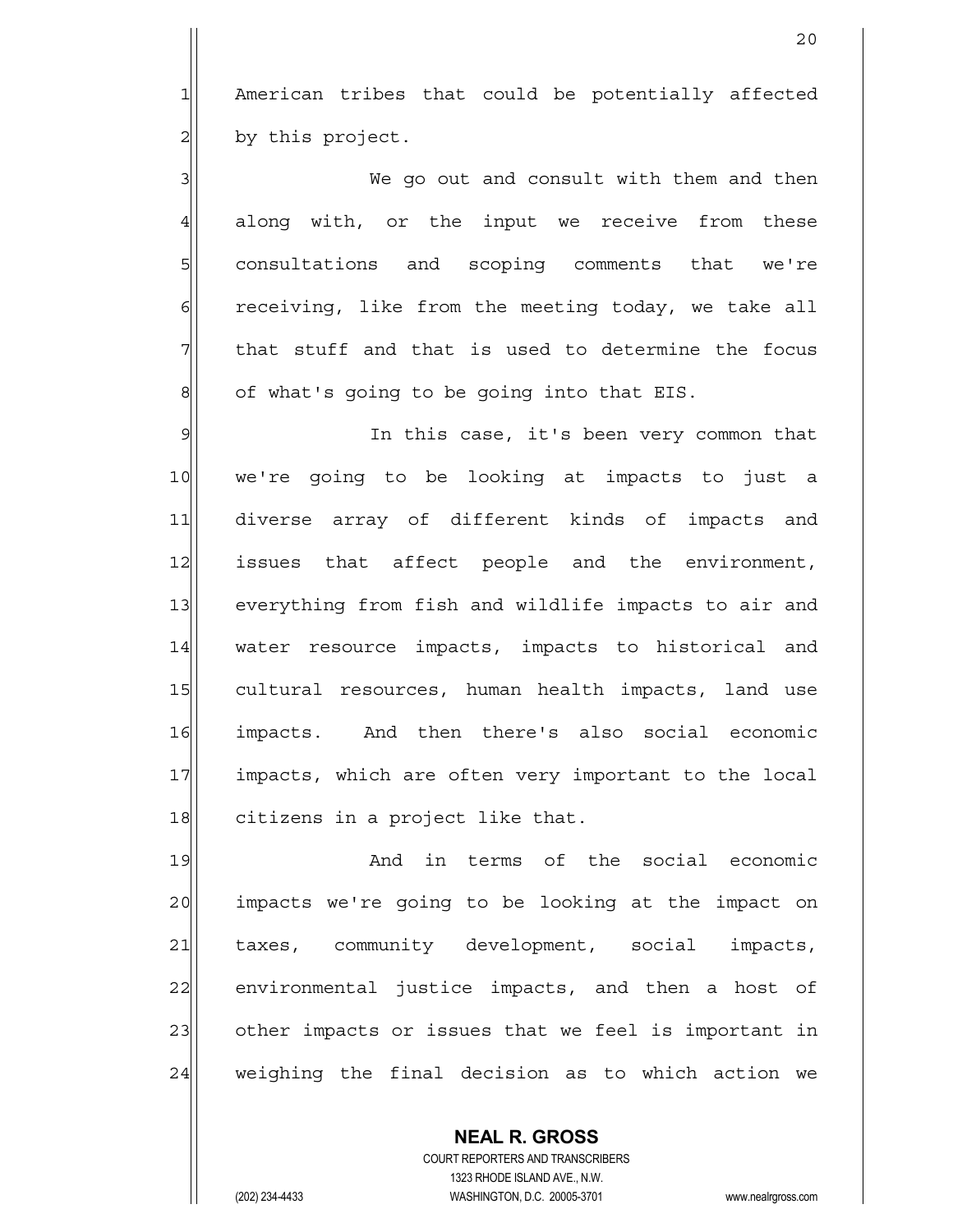$1$  American tribes that could be potentially affected  $2$  by this project.

3 | We go out and consult with them and then 4 along with, or the input we receive from these 5 consultations and scoping comments that we're  $6$  receiving, like from the meeting today, we take all  $7$  that stuff and that is used to determine the focus  $8$  of what's going to be going into that EIS.

9 9 In this case, it's been very common that 10 we're going to be looking at impacts to just a 11 diverse array of different kinds of impacts and 12 issues that affect people and the environment, 13 everything from fish and wildlife impacts to air and 14 | water resource impacts, impacts to historical and 15 cultural resources, human health impacts, land use 16 impacts. And then there's also social economic 17 impacts, which are often very important to the local 18 citizens in a project like that.

19 and in terms of the social economic 20 impacts we're going to be looking at the impact on 21 taxes, community development, social impacts, 22 environmental justice impacts, and then a host of 23 other impacts or issues that we feel is important in 24 weighing the final decision as to which action we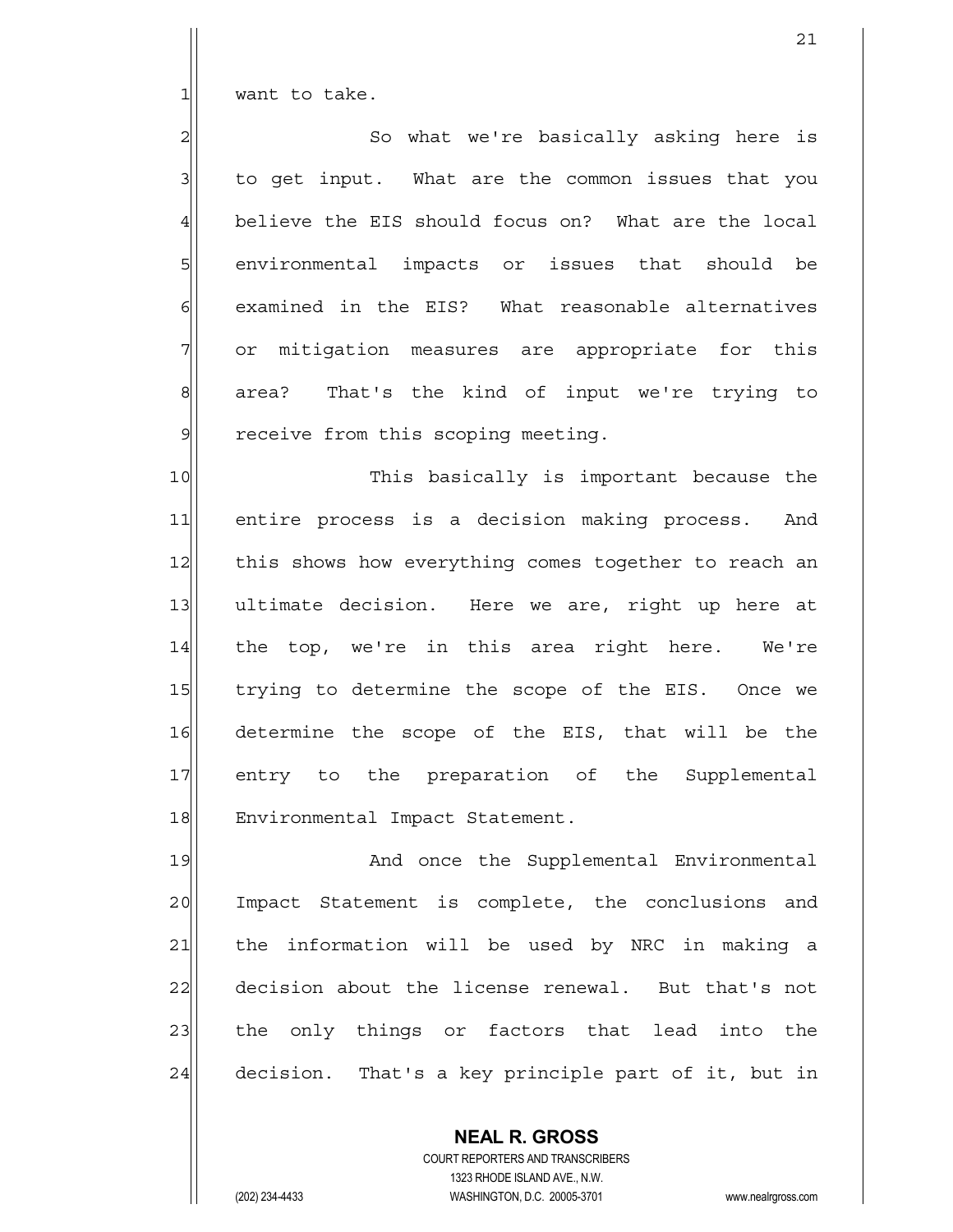$1$  want to take.

2 | So what we're basically asking here is  $3$  to get input. What are the common issues that you 4 believe the EIS should focus on? What are the local 5 senvironmental impacts or issues that should be  $6$  examined in the EIS? What reasonable alternatives  $7$  or mitigation measures are appropriate for this 8 8 8 area? That's the kind of input we're trying to 9 receive from this scoping meeting.

10 This basically is important because the 11 entire process is a decision making process. And 12 this shows how everything comes together to reach an 13 ultimate decision. Here we are, right up here at 14 the top, we're in this area right here. We're 15 trying to determine the scope of the EIS. Once we 16 determine the scope of the EIS, that will be the 17 entry to the preparation of the Supplemental 18 Environmental Impact Statement.

19 And once the Supplemental Environmental 20 Impact Statement is complete, the conclusions and 21 | the information will be used by NRC in making a 22 decision about the license renewal. But that's not 23 the only things or factors that lead into the 24 decision. That's a key principle part of it, but in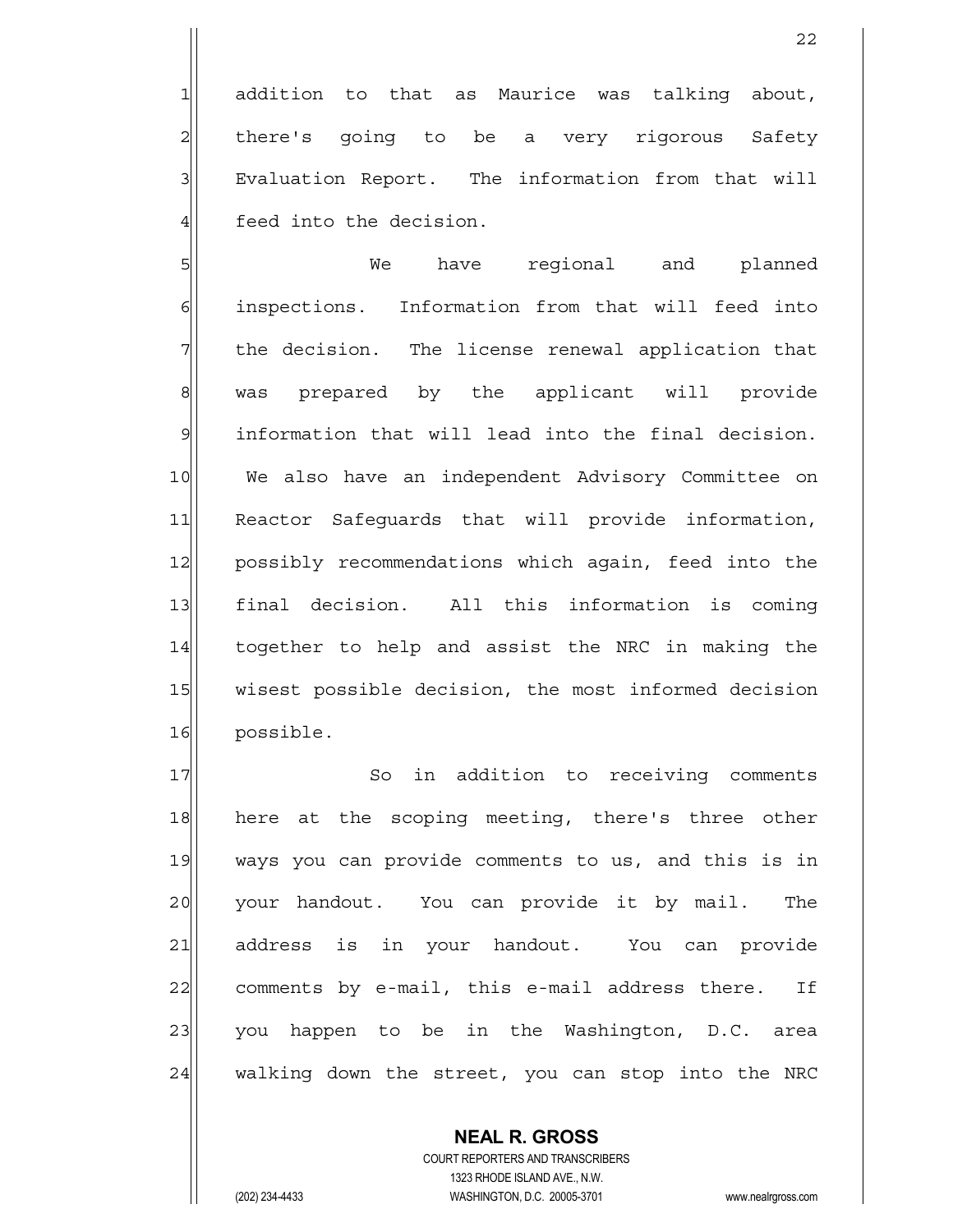1 addition to that as Maurice was talking about, 2 all there's going to be a very rigorous Safety 3 Evaluation Report. The information from that will  $4$  feed into the decision.

5 SI  $\delta$  inspections. Information from that will feed into  $7$  the decision. The license renewal application that 8 was prepared by the applicant will provide 9 information that will lead into the final decision. 10 We also have an independent Advisory Committee on 11 Reactor Safequards that will provide information, 12 possibly recommendations which again, feed into the 13 final decision. All this information is coming 14 together to help and assist the NRC in making the 15 wisest possible decision, the most informed decision 16 possible.

17 So in addition to receiving comments 18 here at the scoping meeting, there's three other 19 ways you can provide comments to us, and this is in 20 your handout. You can provide it by mail. The 21 address is in your handout. You can provide 22 comments by e-mail, this e-mail address there. If 23 you happen to be in the Washington, D.C. area 24 walking down the street, you can stop into the NRC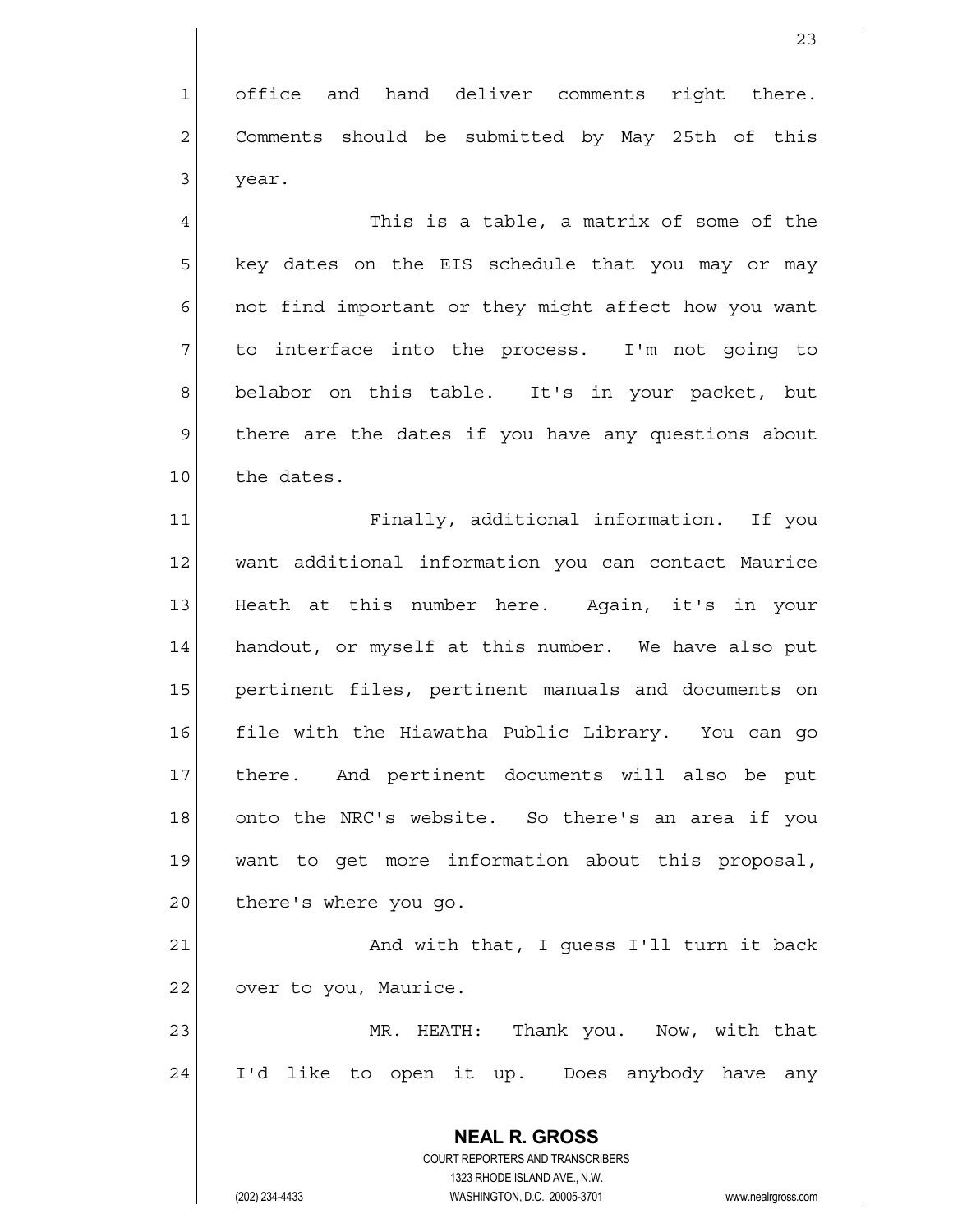1 office and hand deliver comments right there.  $2$  Comments should be submitted by May 25th of this 3 year.

 $\frac{4}{1}$  This is a table, a matrix of some of the  $5$  key dates on the EIS schedule that you may or may  $6$  not find important or they might affect how you want  $7$  to interface into the process. I'm not going to 8 belabor on this table. It's in your packet, but 9 | there are the dates if you have any questions about 10 the dates.

11 Finally, additional information. If you 12 want additional information you can contact Maurice 13 Heath at this number here. Again, it's in your 14 handout, or myself at this number. We have also put 15 pertinent files, pertinent manuals and documents on 16 file with the Hiawatha Public Library. You can go 17 there. And pertinent documents will also be put 18 onto the NRC's website. So there's an area if you 19 want to get more information about this proposal, 20 there's where you go.

21 and with that, I guess I'll turn it back 22 over to you, Maurice.

23 MR. HEATH: Thank you. Now, with that 24 I'd like to open it up. Does anybody have any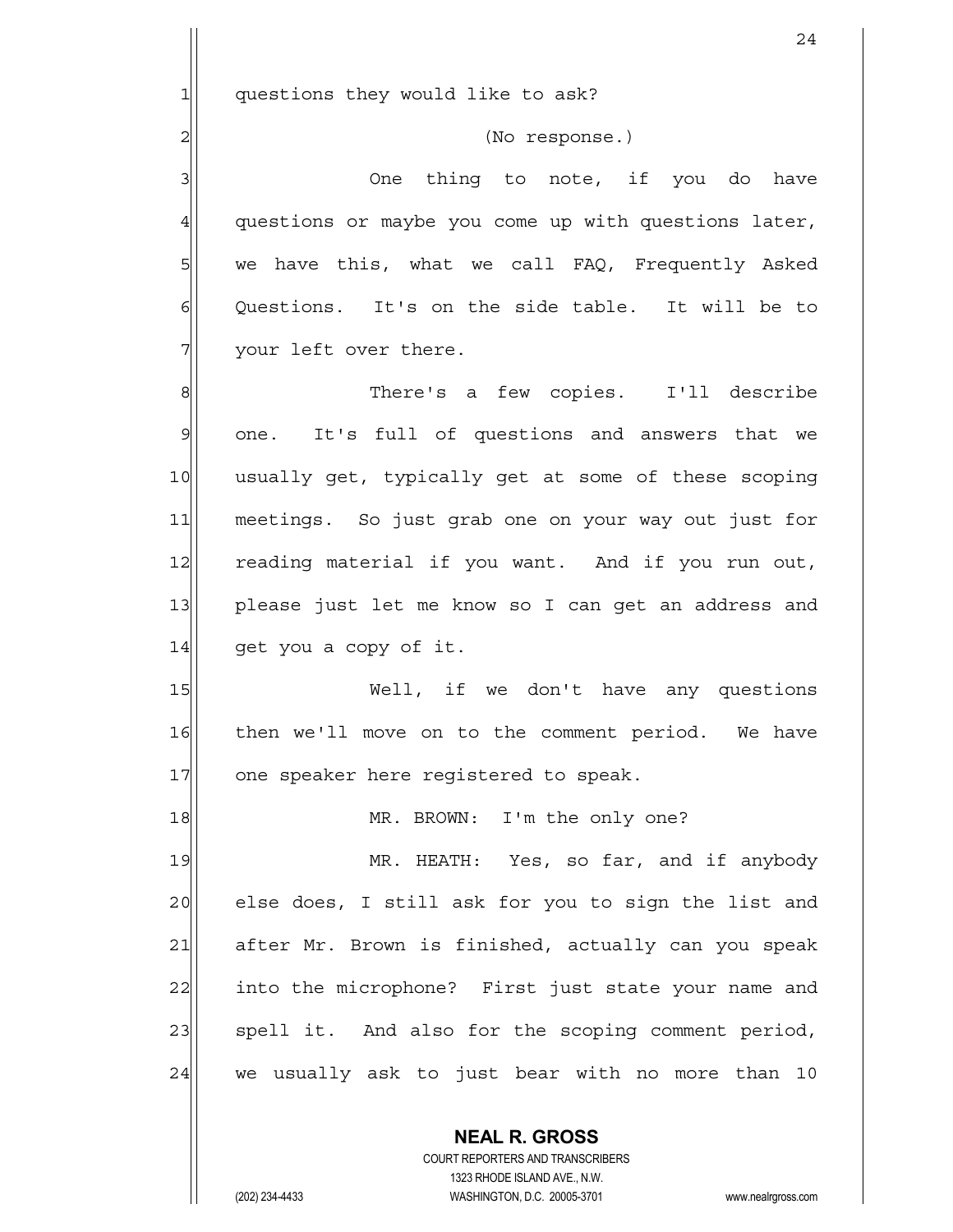$1$  questions they would like to ask?

2<sup>|</sup> (No response.)

3 | 3| One thing to note, if you do have 4 questions or maybe you come up with questions later,  $5$  we have this, what we call FAQ, Frequently Asked  $\delta$  Questions. It's on the side table. It will be to  $7$  your left over there.

8 8 Seribe Reflex and tew copies. I'll describe 9 one. It's full of questions and answers that we 10 usually get, typically get at some of these scoping 11 meetings. So just grab one on your way out just for 12 reading material if you want. And if you run out, 13 please just let me know so I can get an address and 14 get you a copy of it.

15 Well, if we don't have any questions 16 then we'll move on to the comment period. We have 17 one speaker here registered to speak.

18 MR. BROWN: I'm the only one? 19 MR. HEATH: Yes, so far, and if anybody 20 else does, I still ask for you to sign the list and 21 after Mr. Brown is finished, actually can you speak 22 into the microphone? First just state your name and 23 spell it. And also for the scoping comment period,  $24$  we usually ask to just bear with no more than 10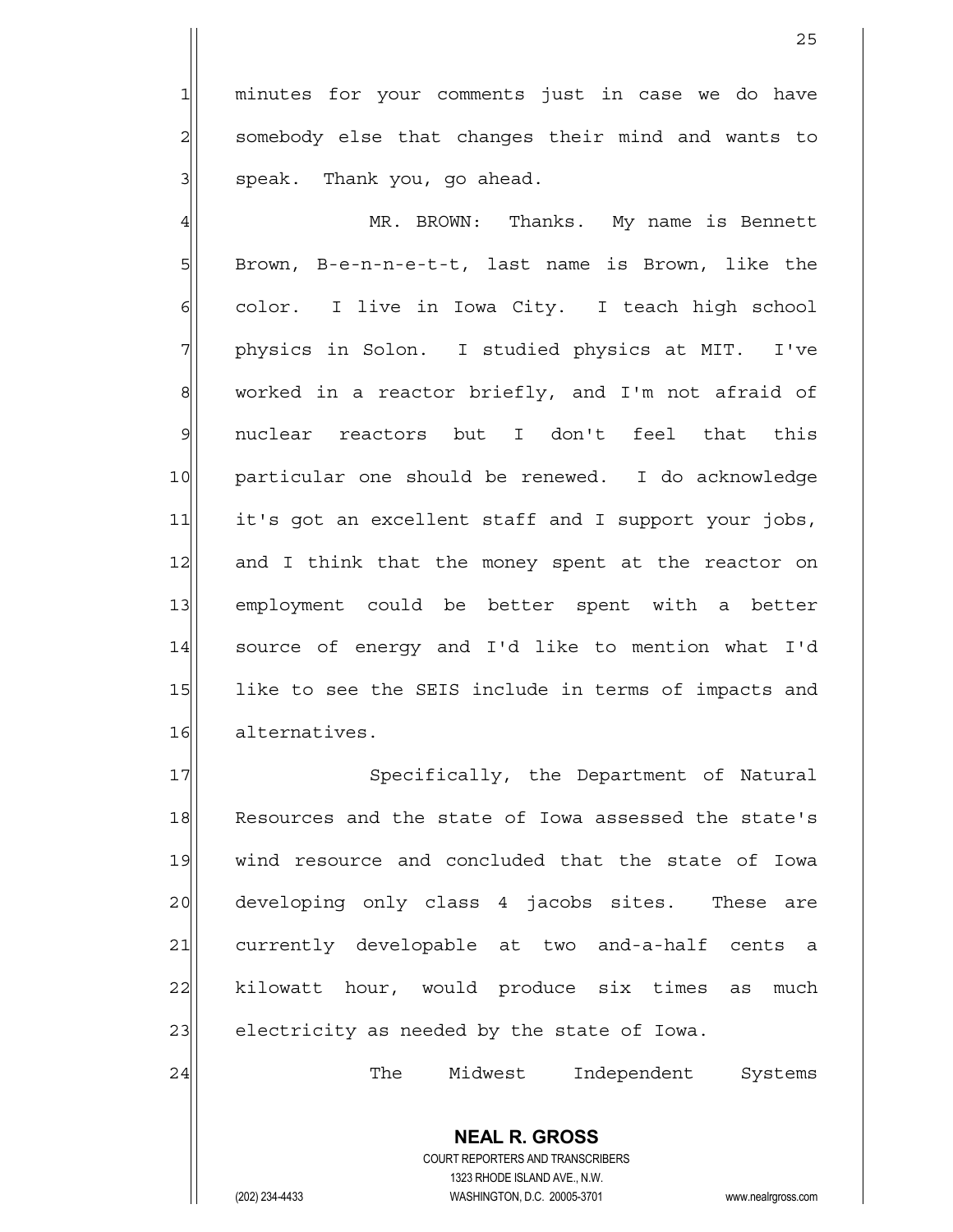1 minutes for your comments just in case we do have  $2$  somebody else that changes their mind and wants to  $3$  speak. Thank you, go ahead.

4 MR. BROWN: Thanks. My name is Bennett  $5$  Brown, B-e-n-n-e-t-t, last name is Brown, like the  $6$  color. I live in Iowa City. I teach high school 7 physics in Solon. I studied physics at MIT. I've  $8$  worked in a reactor briefly, and I'm not afraid of 9 nuclear reactors but I don't feel that this 10 particular one should be renewed. I do acknowledge 11 it's got an excellent staff and I support your jobs, 12 and I think that the money spent at the reactor on 13 employment could be better spent with a better 14 source of energy and I'd like to mention what I'd 15 like to see the SEIS include in terms of impacts and 16 alternatives.

17 Specifically, the Department of Natural 18 Resources and the state of Iowa assessed the state's 19 wind resource and concluded that the state of Iowa 20 developing only class 4 jacobs sites. These are 21 currently developable at two and-a-half cents a 22 kilowatt hour, would produce six times as much  $23$  electricity as needed by the state of Iowa.

24 The Midwest Independent Systems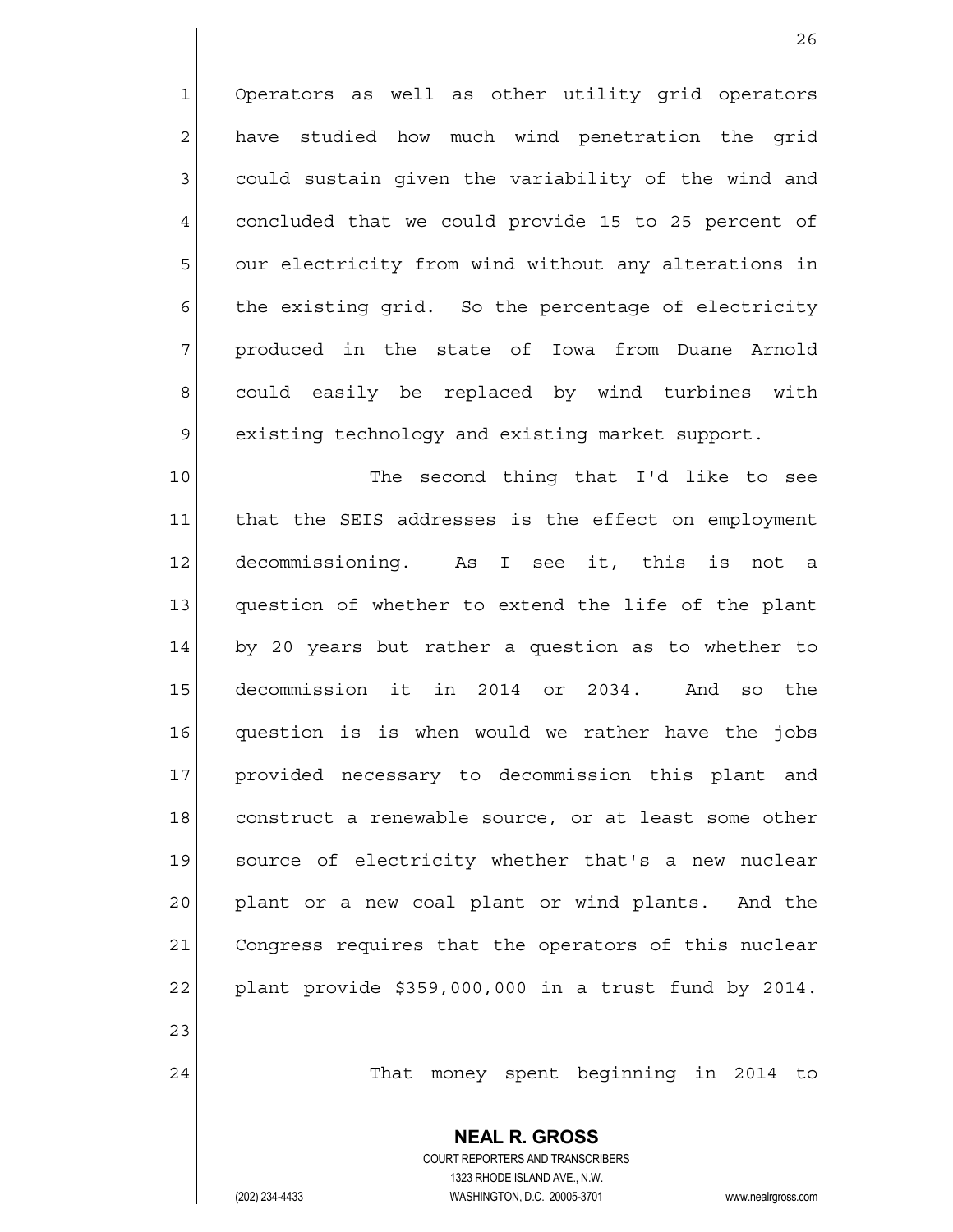1 Operators as well as other utility grid operators  $2$  have studied how much wind penetration the grid  $3$  could sustain given the variability of the wind and  $4$  concluded that we could provide 15 to 25 percent of 5 our electricity from wind without any alterations in  $6$  the existing grid. So the percentage of electricity 7 | produced in the state of Iowa from Duane Arnold 8| could easily be replaced by wind turbines with  $9$  existing technology and existing market support.

10 The second thing that I'd like to see 11 | that the SEIS addresses is the effect on employment 12 decommissioning. As I see it, this is not a 13 question of whether to extend the life of the plant 14 by 20 years but rather a question as to whether to 15 decommission it in 2014 or 2034. And so the 16 question is is when would we rather have the jobs 17 provided necessary to decommission this plant and 18 construct a renewable source, or at least some other 19 source of electricity whether that's a new nuclear 20 plant or a new coal plant or wind plants. And the 21 Congress requires that the operators of this nuclear 22 plant provide  $$359,000,000$  in a trust fund by 2014.

24 That money spent beginning in 2014 to

 **NEAL R. GROSS** COURT REPORTERS AND TRANSCRIBERS 1323 RHODE ISLAND AVE., N.W. (202) 234-4433 WASHINGTON, D.C. 20005-3701 www.nealrgross.com

23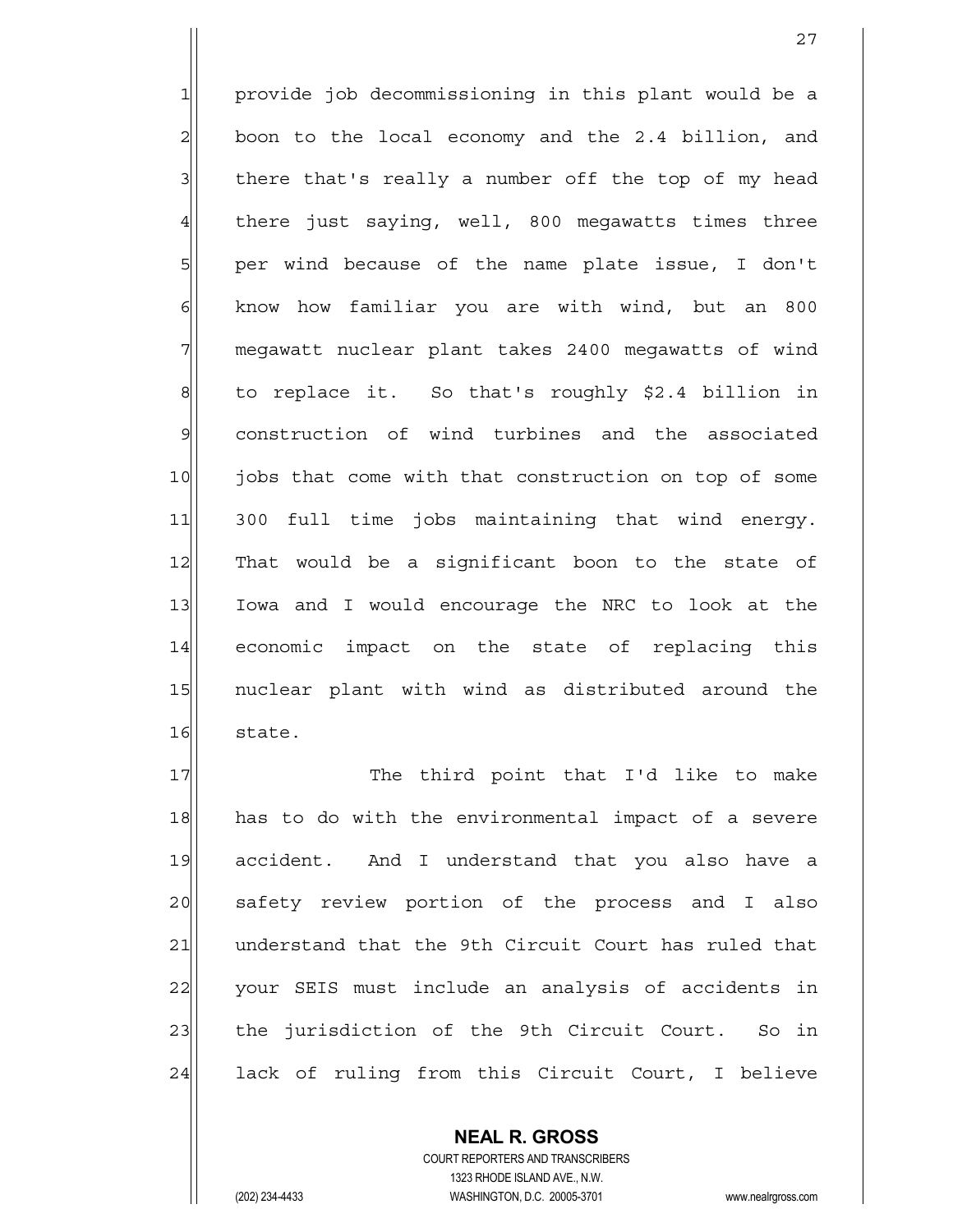$1$  provide job decommissioning in this plant would be a  $2$  boon to the local economy and the 2.4 billion, and  $3$  there that's really a number off the top of my head 4 there just saying, well, 800 megawatts times three  $5$  per wind because of the name plate issue, I don't  $6$  know how familiar you are with wind, but an 800 7 megawatt nuclear plant takes 2400 megawatts of wind 8 to replace it. So that's roughly \$2.4 billion in 9 construction of wind turbines and the associated 10 jobs that come with that construction on top of some 11 300 full time jobs maintaining that wind energy. 12 That would be a significant boon to the state of 13 Iowa and I would encourage the NRC to look at the 14 economic impact on the state of replacing this 15 | nuclear plant with wind as distributed around the 16 state.

27

17 The third point that I'd like to make 18 has to do with the environmental impact of a severe 19 accident. And I understand that you also have a 20 safety review portion of the process and I also 21 | understand that the 9th Circuit Court has ruled that 22 your SEIS must include an analysis of accidents in 23 the jurisdiction of the 9th Circuit Court. So in 24 lack of ruling from this Circuit Court, I believe

> COURT REPORTERS AND TRANSCRIBERS 1323 RHODE ISLAND AVE., N.W. (202) 234-4433 WASHINGTON, D.C. 20005-3701 www.nealrgross.com

 **NEAL R. GROSS**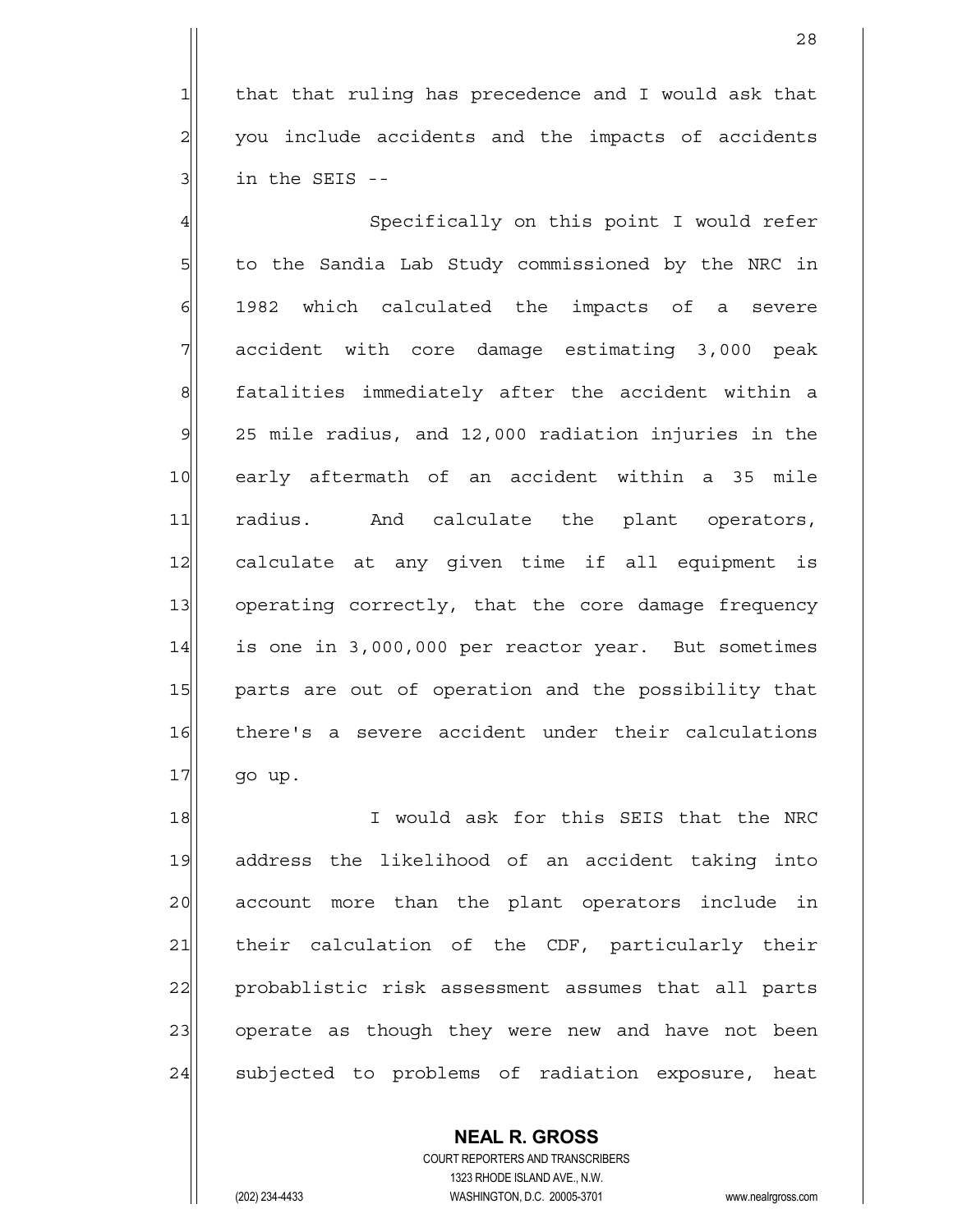$1$  that that ruling has precedence and I would ask that  $2$  you include accidents and the impacts of accidents  $3$  in the SEIS --

4 | Specifically on this point I would refer  $5$  to the Sandia Lab Study commissioned by the NRC in  $6$  1982 which calculated the impacts of a severe  $7$  accident with core damage estimating 3,000 peak 8 8 8 satalities immediately after the accident within a  $9$  25 mile radius, and 12,000 radiation injuries in the 10 early aftermath of an accident within a 35 mile 11 radius. And calculate the plant operators, 12 calculate at any given time if all equipment is 13 operating correctly, that the core damage frequency 14 is one in 3,000,000 per reactor year. But sometimes 15 parts are out of operation and the possibility that 16 there's a severe accident under their calculations  $17$  go up.

18 I would ask for this SEIS that the NRC 19 address the likelihood of an accident taking into 20 account more than the plant operators include in 21 their calculation of the CDF, particularly their 22 probablistic risk assessment assumes that all parts 23 operate as though they were new and have not been 24 subjected to problems of radiation exposure, heat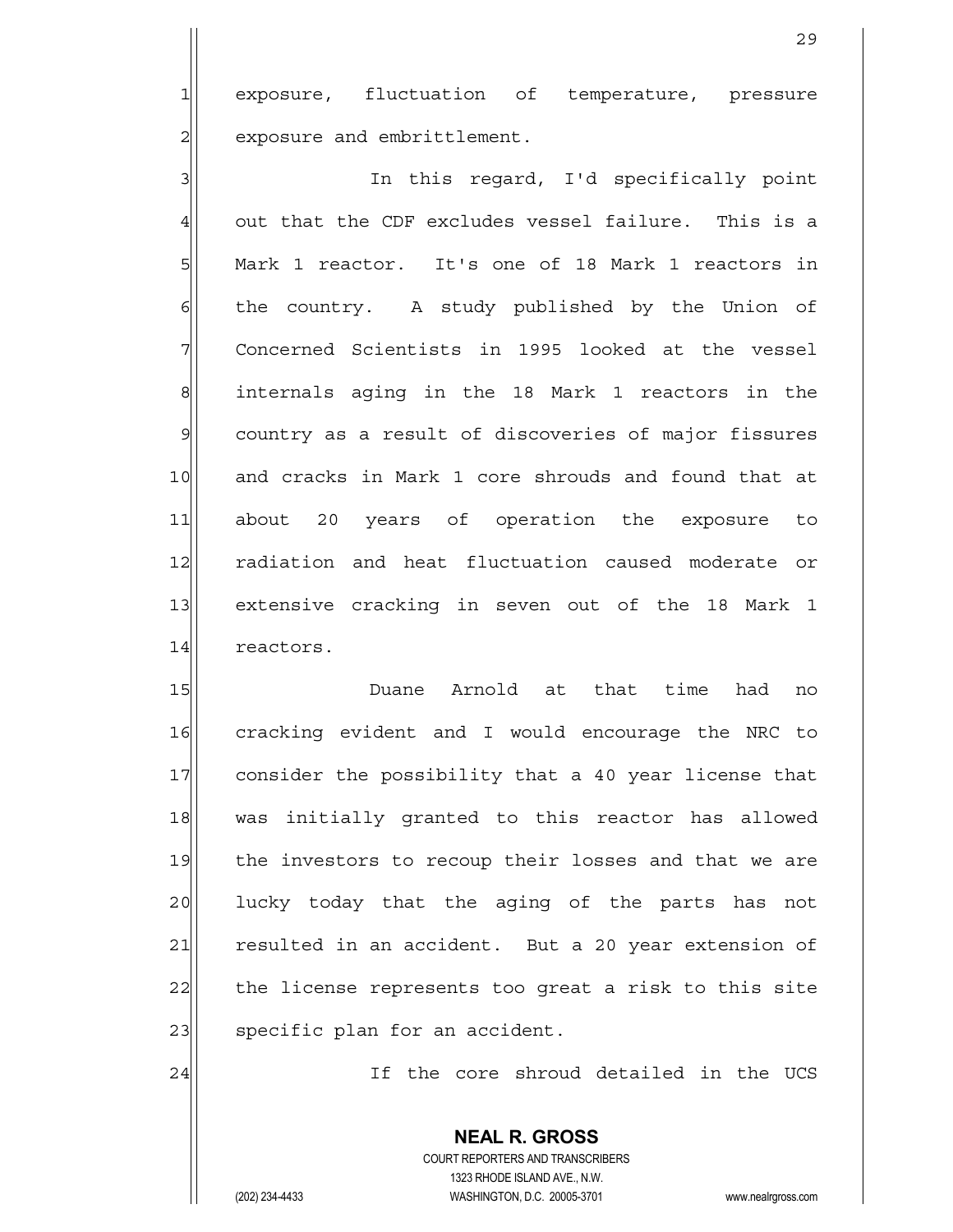1 exposure, fluctuation of temperature, pressure 2 exposure and embrittlement.

3 | 3| In this regard, I'd specifically point  $4$  out that the CDF excludes vessel failure. This is a 5 Mark 1 reactor. It's one of 18 Mark 1 reactors in  $6$  the country. A study published by the Union of  $7$  Concerned Scientists in 1995 looked at the vessel 8 8 internals aging in the 18 Mark 1 reactors in the 9 country as a result of discoveries of major fissures 10 and cracks in Mark 1 core shrouds and found that at 11 about 20 years of operation the exposure to 12 radiation and heat fluctuation caused moderate or 13 extensive cracking in seven out of the 18 Mark 1 14 reactors.

15 | Duane Arnold at that time had no 16 cracking evident and I would encourage the NRC to 17 consider the possibility that a 40 year license that 18 was initially granted to this reactor has allowed 19 the investors to recoup their losses and that we are 20 lucky today that the aging of the parts has not 21 resulted in an accident. But a 20 year extension of 22 the license represents too great a risk to this site 23 | specific plan for an accident.

24 24 If the core shroud detailed in the UCS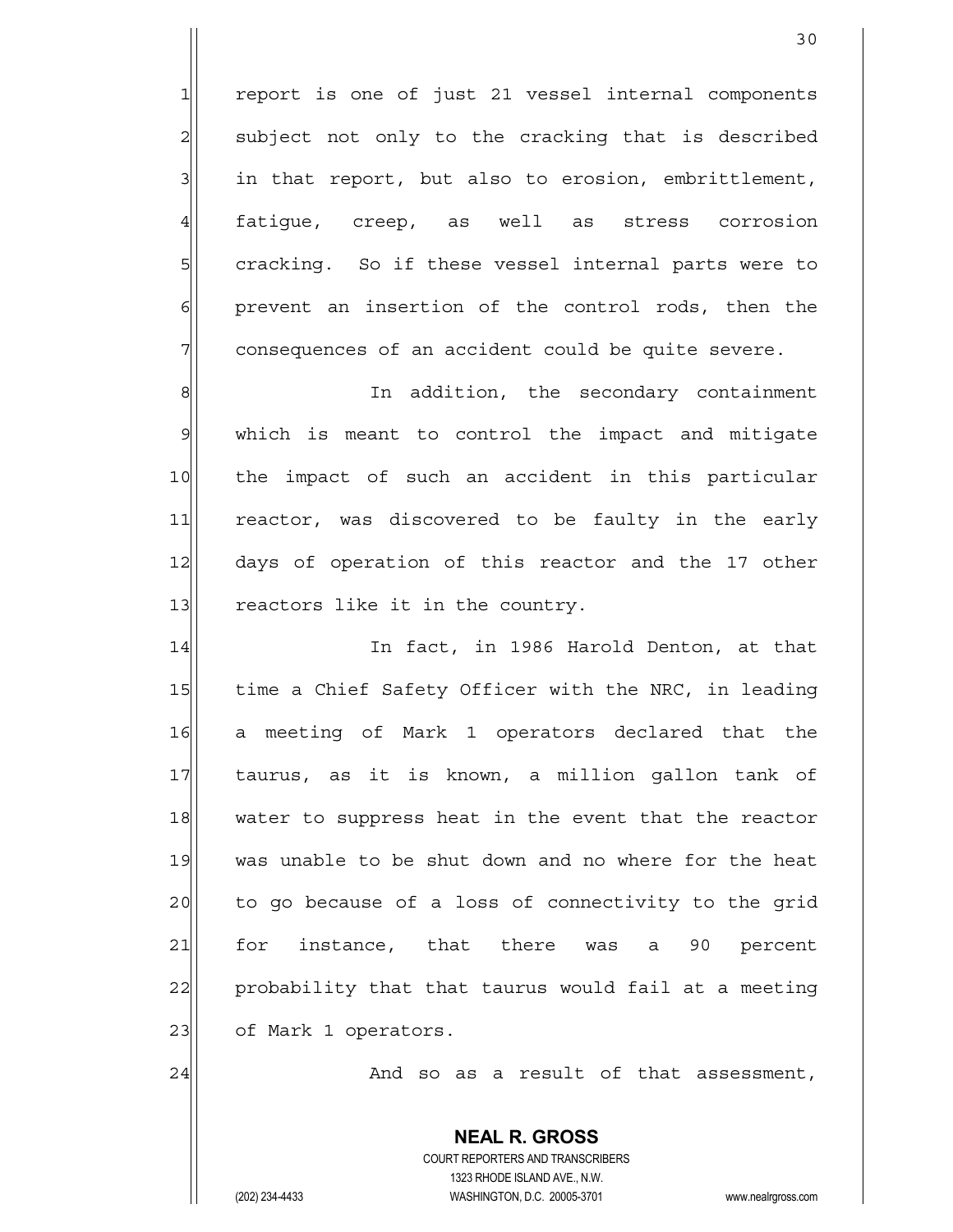report is one of just 21 vessel internal components subject not only to the cracking that is described in that report, but also to erosion, embrittlement, 4 fatigue, creep, as well as stress corrosion 5 s cracking. So if these vessel internal parts were to prevent an insertion of the control rods, then the consequences of an accident could be quite severe.

8 8 8 In addition, the secondary containment  $9$  which is meant to control the impact and mitigate 10 the impact of such an accident in this particular 11 reactor, was discovered to be faulty in the early 12 days of operation of this reactor and the 17 other  $13$  reactors like it in the country.

14 In fact, in 1986 Harold Denton, at that 15 time a Chief Safety Officer with the NRC, in leading 16 a meeting of Mark 1 operators declared that the 17 taurus, as it is known, a million gallon tank of 18 water to suppress heat in the event that the reactor 19 was unable to be shut down and no where for the heat 20 to go because of a loss of connectivity to the grid 21 for instance, that there was a 90 percent 22 probability that that taurus would fail at a meeting 23 | of Mark 1 operators.

 $24$   $\vert$  and so as a result of that assessment,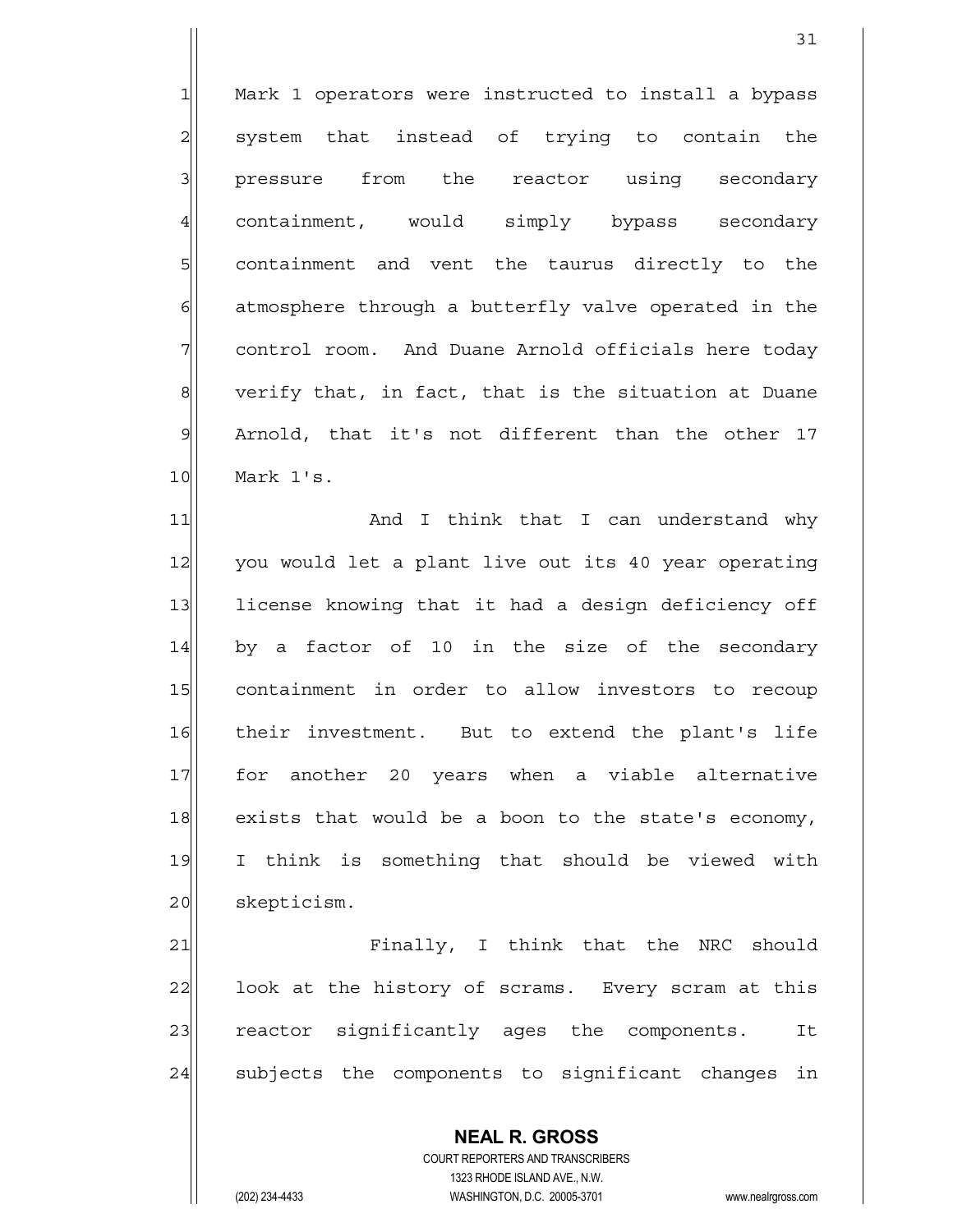1 Mark 1 operators were instructed to install a bypass 2 system that instead of trying to contain the 3 | pressure from the reactor using secondary 4 containment, would simply bypass secondary 5 s containment and vent the taurus directly to the  $6$  atmosphere through a butterfly valve operated in the 7 control room. And Duane Arnold officials here today  $8$  verify that, in fact, that is the situation at Duane 9 Arnold, that it's not different than the other 17 10 Mark 1's.

11 and I think that I can understand why 12 you would let a plant live out its 40 year operating 13 license knowing that it had a design deficiency off  $14$  by a factor of 10 in the size of the secondary 15 containment in order to allow investors to recoup 16 their investment. But to extend the plant's life 17 for another 20 years when a viable alternative 18 exists that would be a boon to the state's economy, 19 I think is something that should be viewed with 20 | skepticism.

21 Finally, I think that the NRC should 22 look at the history of scrams. Every scram at this 23 reactor significantly ages the components. It 24 subjects the components to significant changes in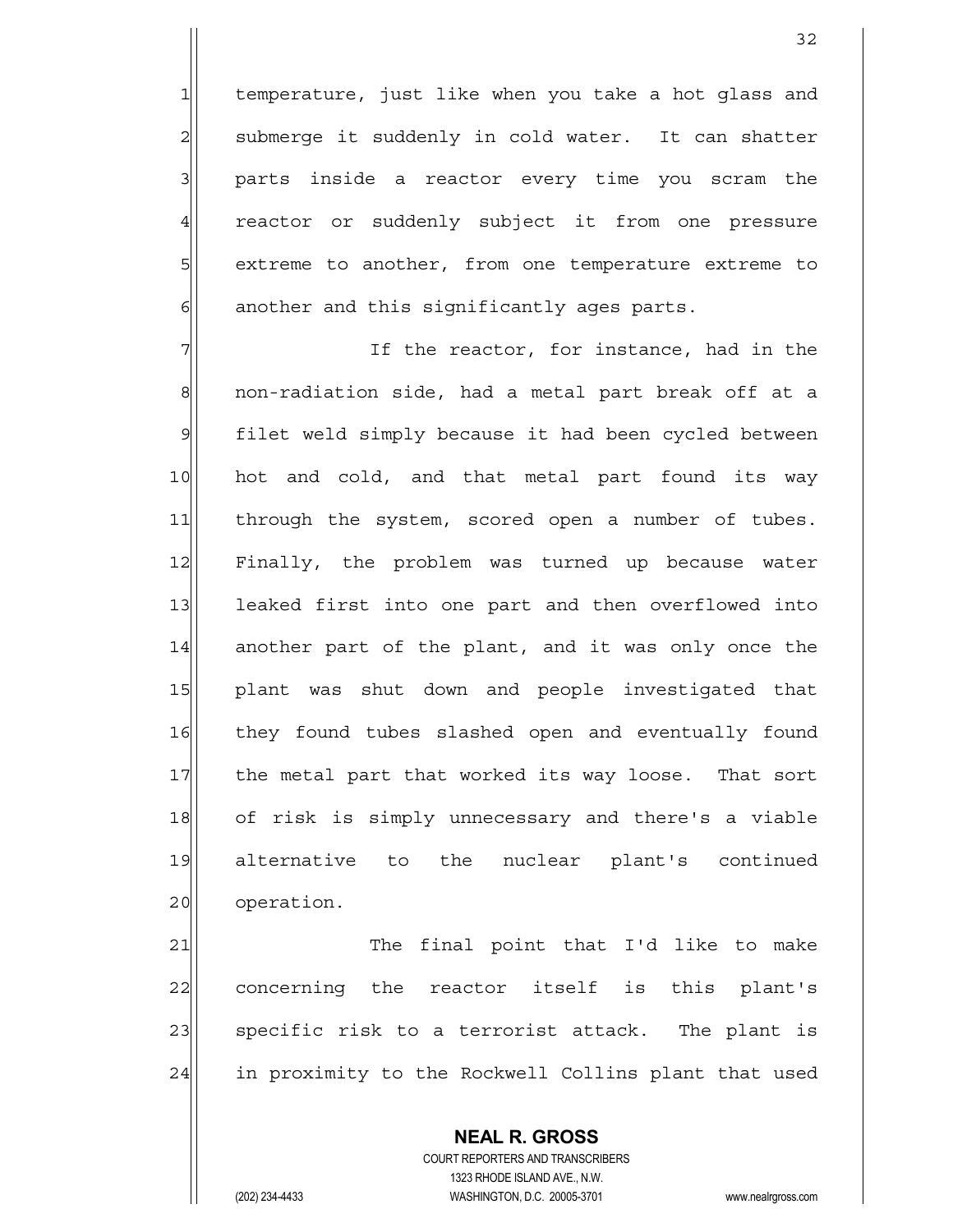1 temperature, just like when you take a hot glass and  $2$  submerge it suddenly in cold water. It can shatter  $3$  parts inside a reactor every time you scram the 4 reactor or suddenly subject it from one pressure 5 extreme to another, from one temperature extreme to  $6$  another and this significantly ages parts.

 $7$   $7$   $1$   $1$  the reactor, for instance, had in the 8 8 | non-radiation side, had a metal part break off at a 9 filet weld simply because it had been cycled between 10 hot and cold, and that metal part found its way 11 | through the system, scored open a number of tubes. 12 Finally, the problem was turned up because water 13 leaked first into one part and then overflowed into 14 another part of the plant, and it was only once the 15 plant was shut down and people investigated that 16 they found tubes slashed open and eventually found 17 the metal part that worked its way loose. That sort 18 of risk is simply unnecessary and there's a viable 19 alternative to the nuclear plant's continued 20 operation.

21 The final point that I'd like to make 22 concerning the reactor itself is this plant's 23 | specific risk to a terrorist attack. The plant is 24 in proximity to the Rockwell Collins plant that used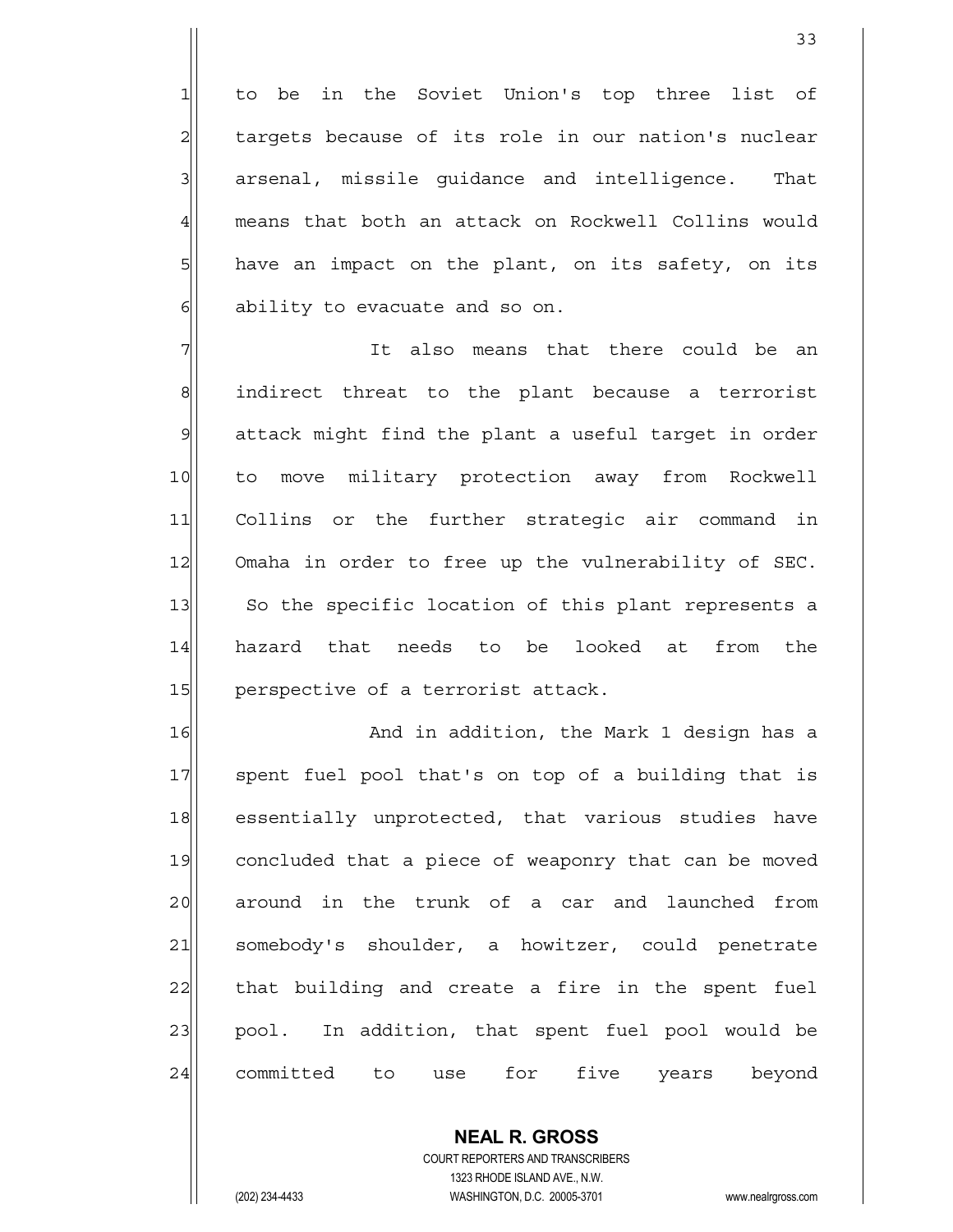1 to be in the Soviet Union's top three list of targets because of its role in our nation's nuclear arsenal, missile quidance and intelligence. That 4| means that both an attack on Rockwell Collins would have an impact on the plant, on its safety, on its ability to evacuate and so on.

7 and the state of the could be an interest and the state of the state of the state of the state of the state  $8$  indirect threat to the plant because a terrorist 9 attack might find the plant a useful target in order 10 to move military protection away from Rockwell 11 Collins or the further strategic air command in 12 Omaha in order to free up the vulnerability of SEC. 13 So the specific location of this plant represents a 14 hazard that needs to be looked at from the 15 perspective of a terrorist attack.

16 and in addition, the Mark 1 design has a 17 spent fuel pool that's on top of a building that is 18 essentially unprotected, that various studies have 19 concluded that a piece of weaponry that can be moved 20 around in the trunk of a car and launched from 21 somebody's shoulder, a howitzer, could penetrate 22 that building and create a fire in the spent fuel 23 pool. In addition, that spent fuel pool would be 24 committed to use for five years beyond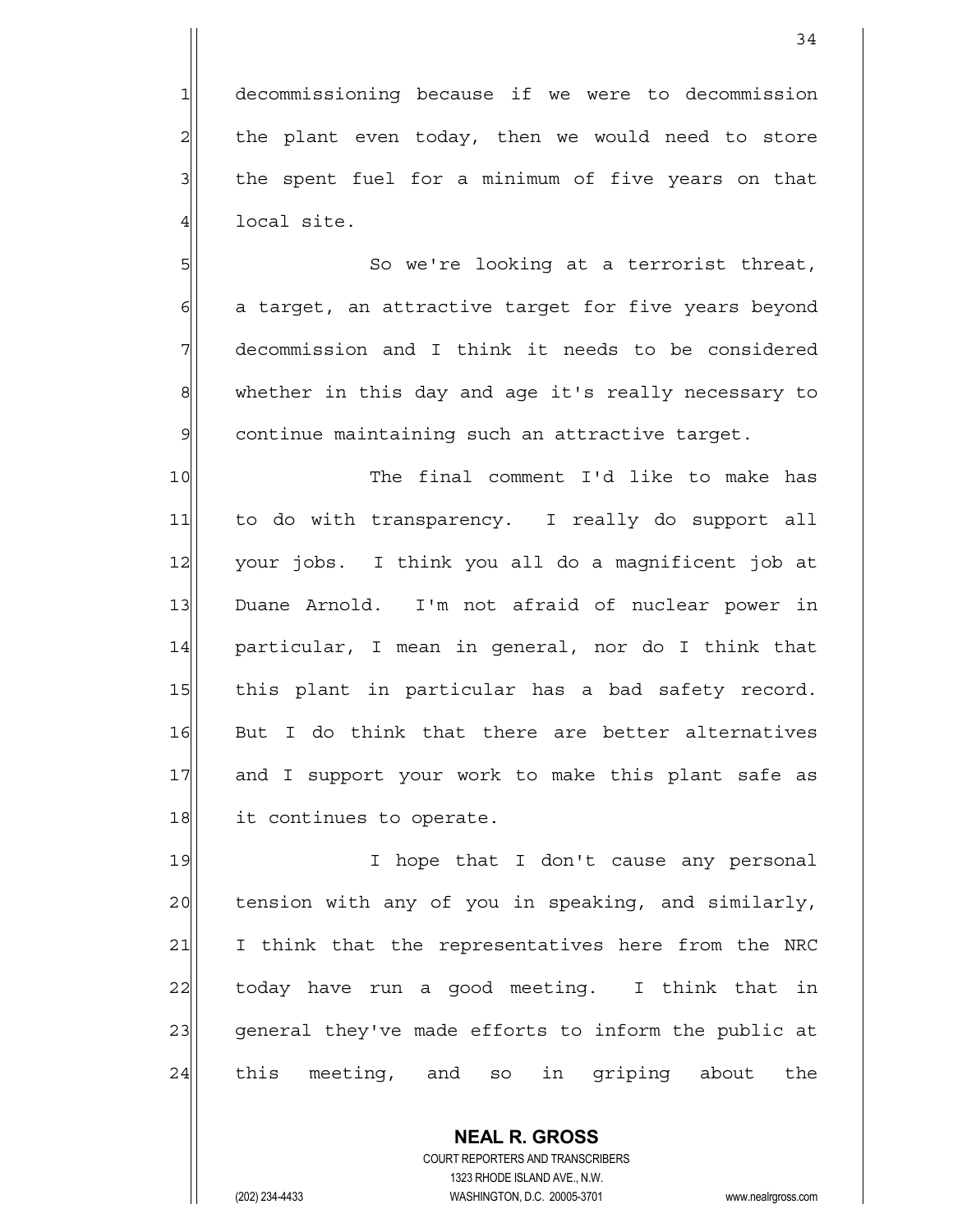1 decommissioning because if we were to decommission  $2$  the plant even today, then we would need to store  $3$  the spent fuel for a minimum of five years on that 4 local site.

5 So we're looking at a terrorist threat,  $6$  a target, an attractive target for five years beyond  $7$  decommission and I think it needs to be considered 8 whether in this day and age it's really necessary to  $9$  continue maintaining such an attractive target.

10 The final comment I'd like to make has 11 to do with transparency. I really do support all 12 your jobs. I think you all do a magnificent job at 13 Duane Arnold. I'm not afraid of nuclear power in 14 particular, I mean in general, nor do I think that 15 | this plant in particular has a bad safety record. 16 But I do think that there are better alternatives 17 and I support your work to make this plant safe as 18 it continues to operate.

19 I hope that I don't cause any personal 20 tension with any of you in speaking, and similarly, 21 I think that the representatives here from the NRC 22 today have run a good meeting. I think that in 23 general they've made efforts to inform the public at 24 this meeting, and so in griping about the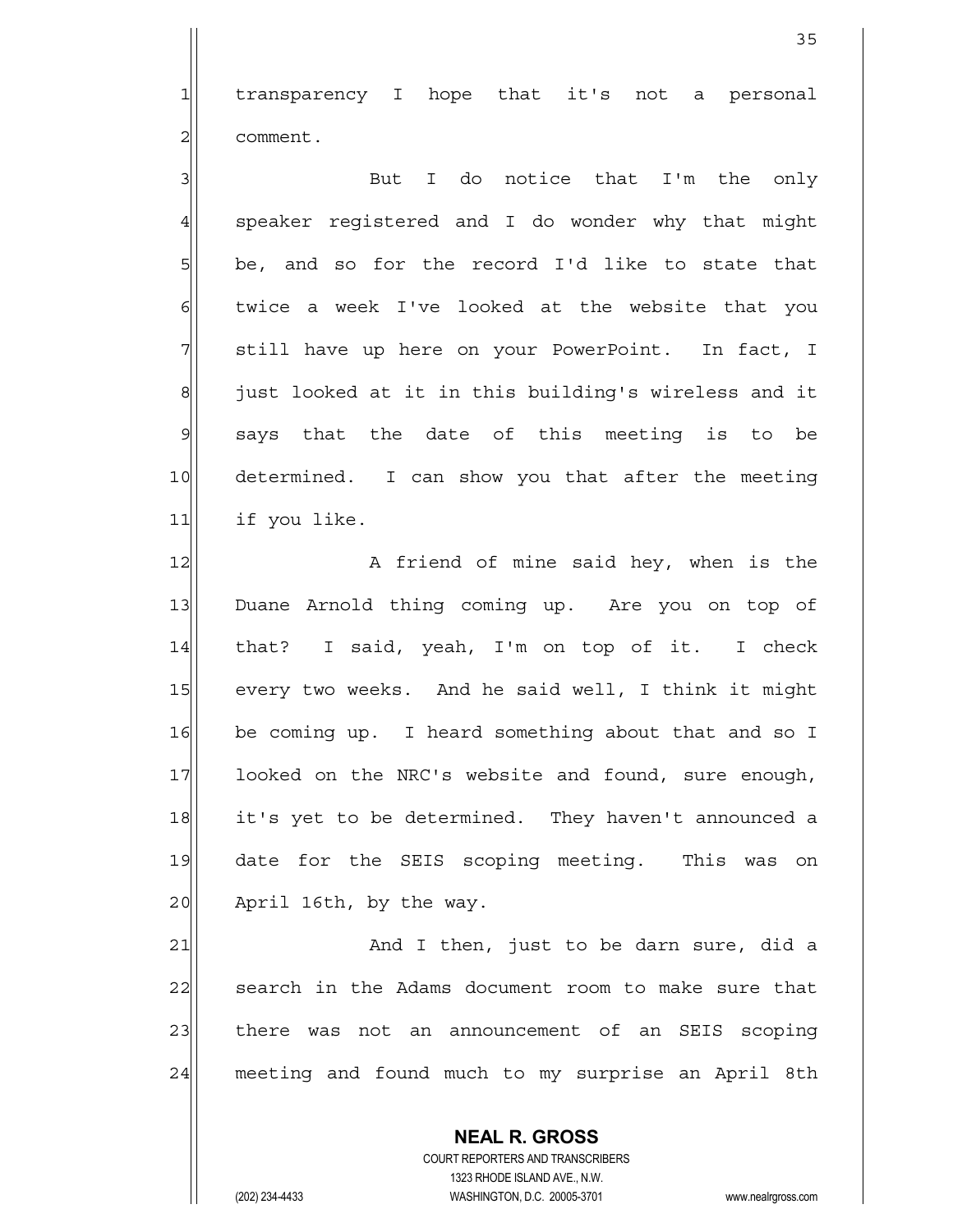1 transparency I hope that it's not a personal 21 comment.

3 But I do notice that I'm the only  $4$  speaker registered and I do wonder why that might  $5$  be, and so for the record I'd like to state that  $6$  twice a week I've looked at the website that you 7 still have up here on your PowerPoint. In fact, I 8 s all iust looked at it in this building's wireless and it  $9$  says that the date of this meeting is to be 10 determined. I can show you that after the meeting 11 if you like.

12 A friend of mine said hey, when is the 13 Duane Arnold thing coming up. Are you on top of 14 that? I said, yeah, I'm on top of it. I check 15 every two weeks. And he said well, I think it might 16 be coming up. I heard something about that and so I 17 looked on the NRC's website and found, sure enough, 18 it's yet to be determined. They haven't announced a 19 date for the SEIS scoping meeting. This was on 20 April 16th, by the way.

21 and I then, just to be darn sure, did a 22 search in the Adams document room to make sure that 23 there was not an announcement of an SEIS scoping 24 meeting and found much to my surprise an April 8th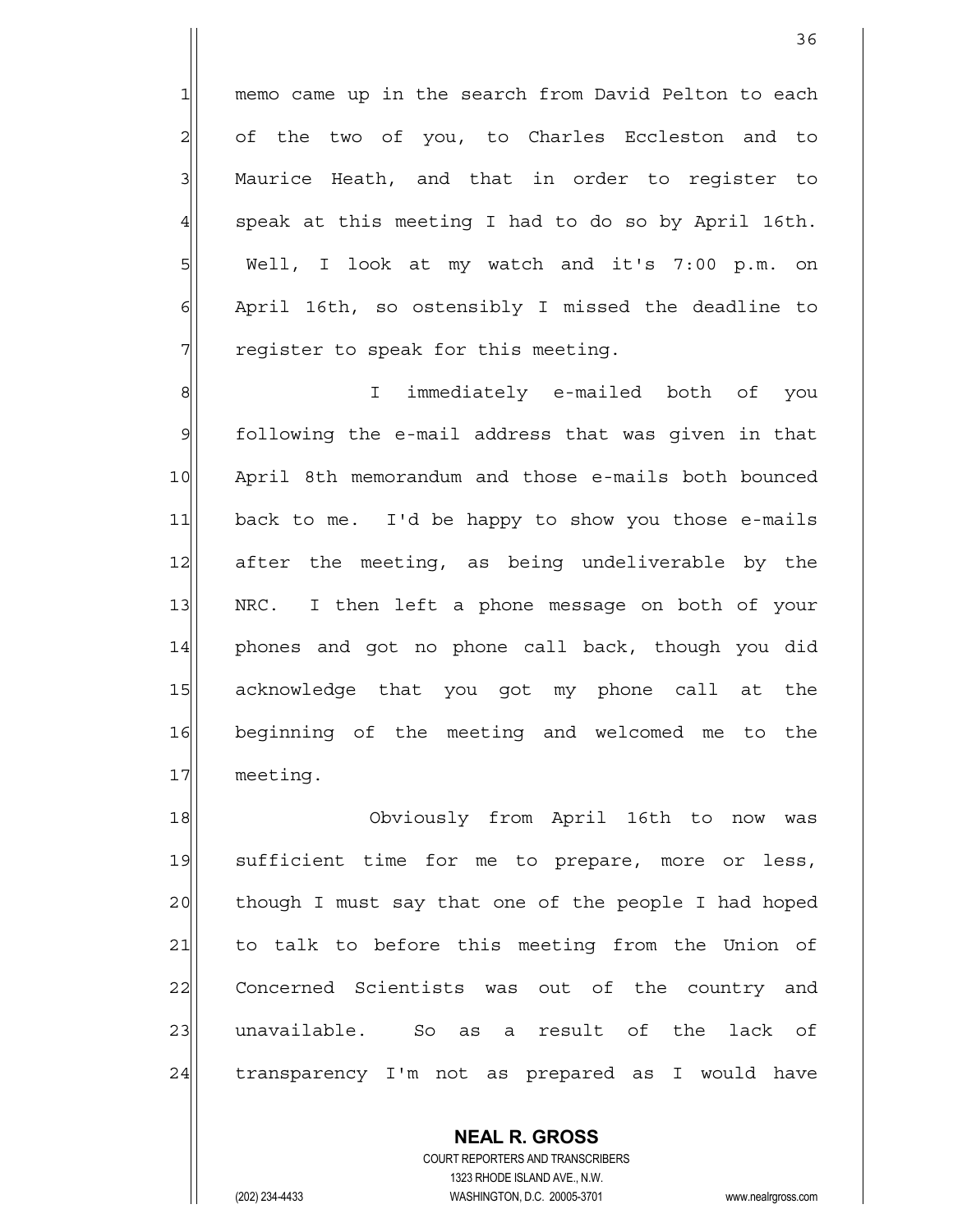1| memo came up in the search from David Pelton to each of the two of you, to Charles Eccleston and to 3 Maurice Heath, and that in order to register to speak at this meeting I had to do so by April 16th. Well, I look at my watch and it's 7:00 p.m. on April 16th, so ostensibly I missed the deadline to reqister to speak for this meeting.

8 8 8 I immediately e-mailed both of you 9 following the e-mail address that was given in that 10 April 8th memorandum and those e-mails both bounced 11 back to me. I'd be happy to show you those e-mails 12 after the meeting, as being undeliverable by the 13 | NRC. I then left a phone message on both of your 14| phones and got no phone call back, though you did 15 acknowledge that you got my phone call at the 16 beginning of the meeting and welcomed me to the 17 meeting.

18 Obviously from April 16th to now was 19 sufficient time for me to prepare, more or less, 20 though I must say that one of the people I had hoped 21 to talk to before this meeting from the Union of 22 Concerned Scientists was out of the country and 23 | unavailable. So as a result of the lack of 24 transparency I'm not as prepared as I would have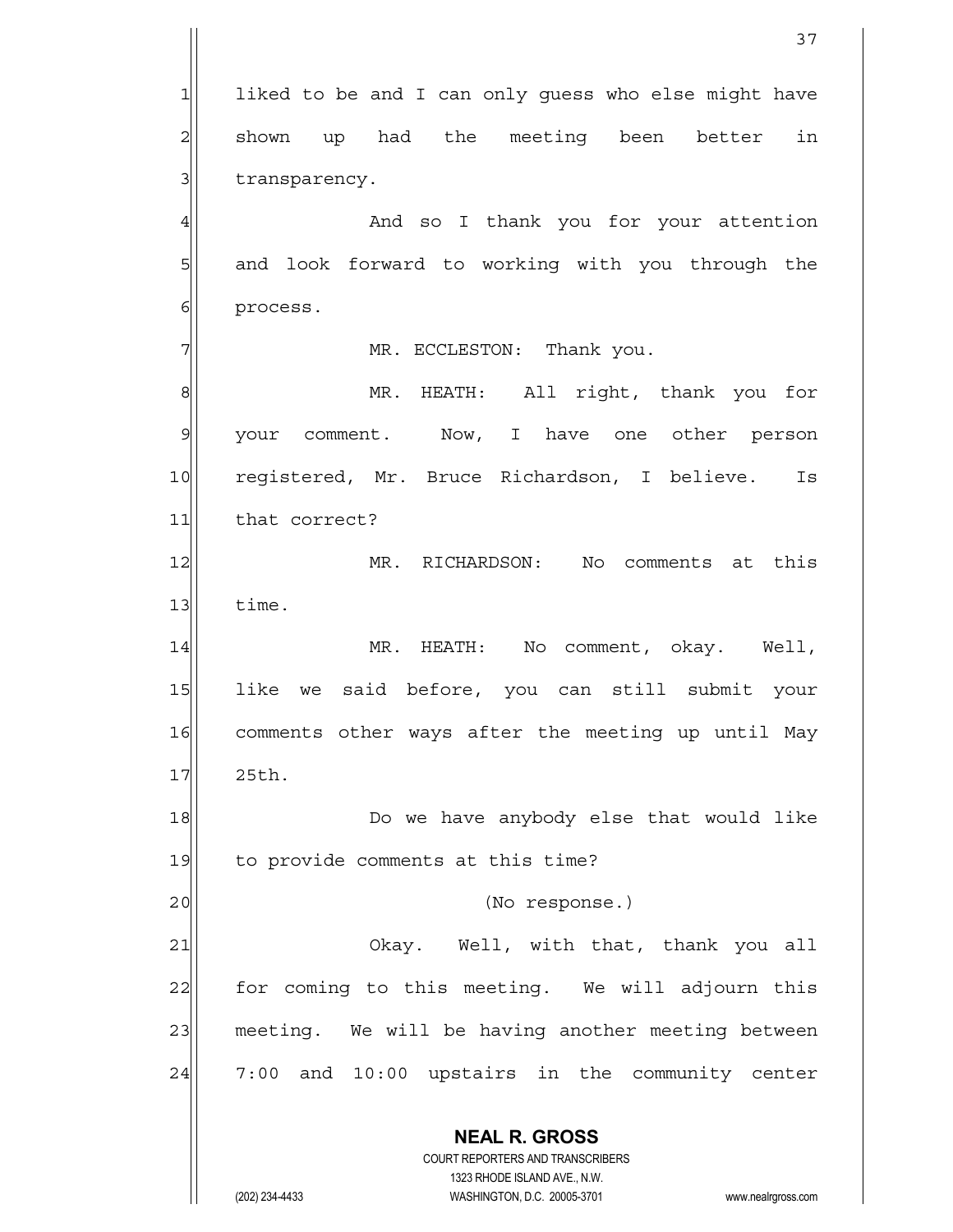**NEAL R. GROSS** COURT REPORTERS AND TRANSCRIBERS 1323 RHODE ISLAND AVE., N.W. (202) 234-4433 WASHINGTON, D.C. 20005-3701 www.nealrgross.com  $1$  liked to be and I can only quess who else might have  $2$  shown up had the meeting been better in  $3$  transparency. 4 And so I thank you for your attention 5 | and look forward to working with you through the 6 process. 7 | MR. ECCLESTON: Thank you. 8 MR. HEATH: All right, thank you for 9 your comment. Now, I have one other person 10 registered, Mr. Bruce Richardson, I believe. Is 11 that correct? 12 MR. RICHARDSON: No comments at this  $13$  time. 14 | MR. HEATH: No comment, okay. Well, 15 like we said before, you can still submit your 16 comments other ways after the meeting up until May 17 25th. 18 and the weaker any body else that would like 19 to provide comments at this time? 20 |  $\qquad \qquad$  (No response.) 21| Okay. Well, with that, thank you all 22 for coming to this meeting. We will adjourn this 23 meeting. We will be having another meeting between  $24$  7:00 and 10:00 upstairs in the community center

37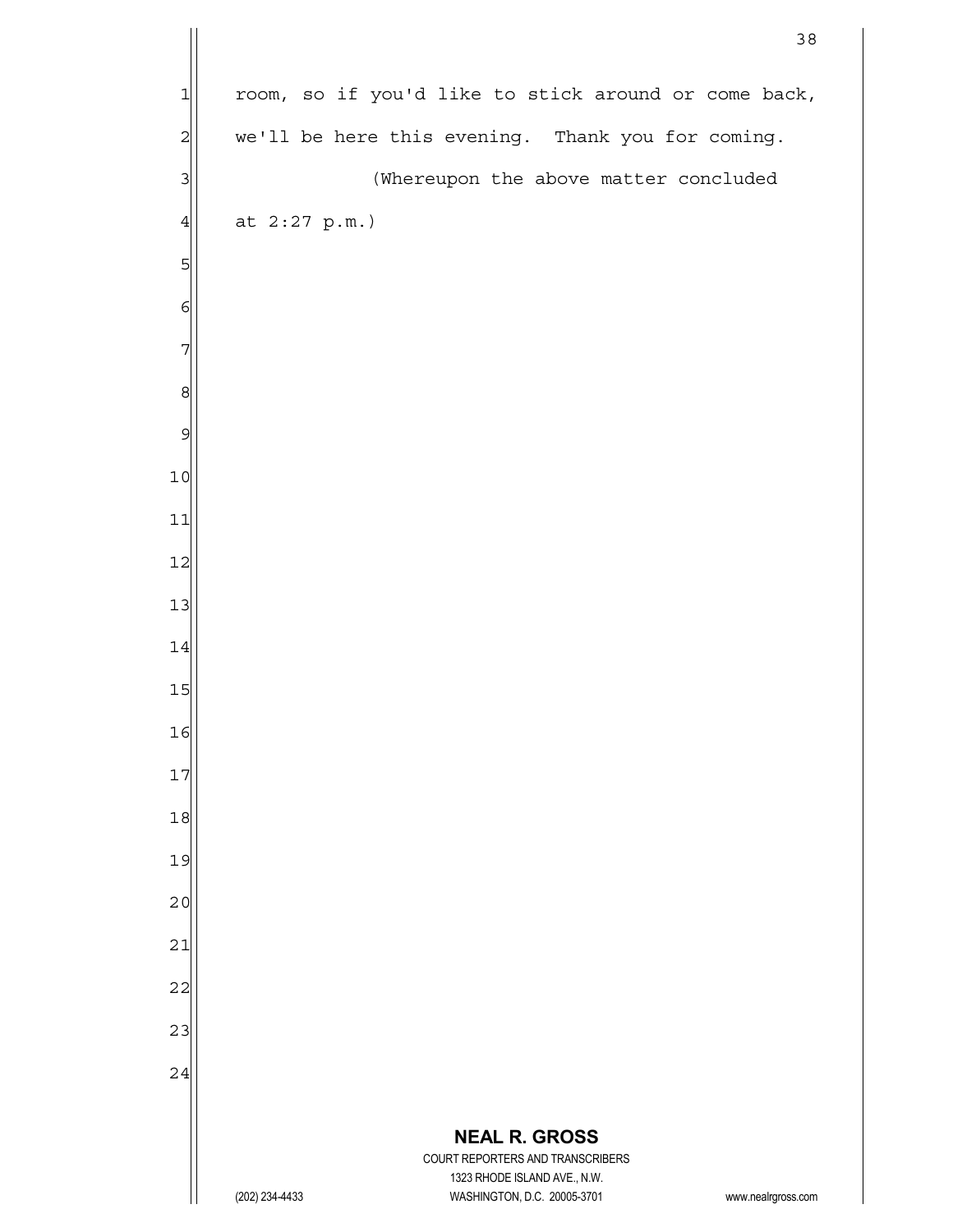|                |                                                                  |                             | 38                                                   |  |
|----------------|------------------------------------------------------------------|-----------------------------|------------------------------------------------------|--|
| 1              |                                                                  |                             | room, so if you'd like to stick around or come back, |  |
| $\overline{c}$ |                                                                  |                             | we'll be here this evening. Thank you for coming.    |  |
| 3              |                                                                  |                             | (Whereupon the above matter concluded                |  |
| $\overline{4}$ | at $2:27$ p.m.)                                                  |                             |                                                      |  |
| 5              |                                                                  |                             |                                                      |  |
| 6              |                                                                  |                             |                                                      |  |
| 7              |                                                                  |                             |                                                      |  |
| 8              |                                                                  |                             |                                                      |  |
| 9              |                                                                  |                             |                                                      |  |
| 10             |                                                                  |                             |                                                      |  |
| 11             |                                                                  |                             |                                                      |  |
| 12             |                                                                  |                             |                                                      |  |
| 13             |                                                                  |                             |                                                      |  |
| 14             |                                                                  |                             |                                                      |  |
| 15             |                                                                  |                             |                                                      |  |
| 16             |                                                                  |                             |                                                      |  |
| 17             |                                                                  |                             |                                                      |  |
| 18             |                                                                  |                             |                                                      |  |
| 19             |                                                                  |                             |                                                      |  |
| 20             |                                                                  |                             |                                                      |  |
| 21             |                                                                  |                             |                                                      |  |
| 22             |                                                                  |                             |                                                      |  |
| 23             |                                                                  |                             |                                                      |  |
| 24             |                                                                  |                             |                                                      |  |
|                |                                                                  | <b>NEAL R. GROSS</b>        |                                                      |  |
|                | COURT REPORTERS AND TRANSCRIBERS<br>1323 RHODE ISLAND AVE., N.W. |                             |                                                      |  |
|                | (202) 234-4433                                                   | WASHINGTON, D.C. 20005-3701 | www.nealrgross.com                                   |  |